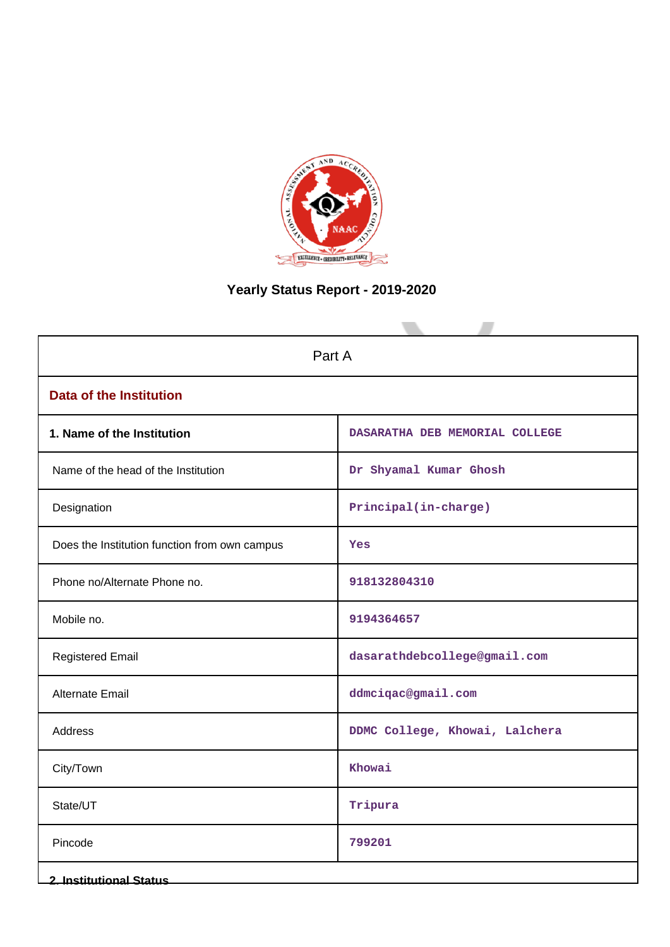

# **Yearly Status Report - 2019-2020**

| Part A                                        |                                |  |  |  |
|-----------------------------------------------|--------------------------------|--|--|--|
| <b>Data of the Institution</b>                |                                |  |  |  |
| 1. Name of the Institution                    | DASARATHA DEB MEMORIAL COLLEGE |  |  |  |
| Name of the head of the Institution           | Dr Shyamal Kumar Ghosh         |  |  |  |
| Designation                                   | Principal(in-charge)           |  |  |  |
| Does the Institution function from own campus | Yes                            |  |  |  |
| Phone no/Alternate Phone no.                  | 918132804310                   |  |  |  |
| Mobile no.                                    | 9194364657                     |  |  |  |
| <b>Registered Email</b>                       | dasarathdebcollege@gmail.com   |  |  |  |
| Alternate Email                               | ddmciqac@gmail.com             |  |  |  |
| <b>Address</b>                                | DDMC College, Khowai, Lalchera |  |  |  |
| City/Town                                     | Khowai                         |  |  |  |
| State/UT                                      | Tripura                        |  |  |  |
| Pincode                                       | 799201                         |  |  |  |
| <b>2. Institutional Status</b>                |                                |  |  |  |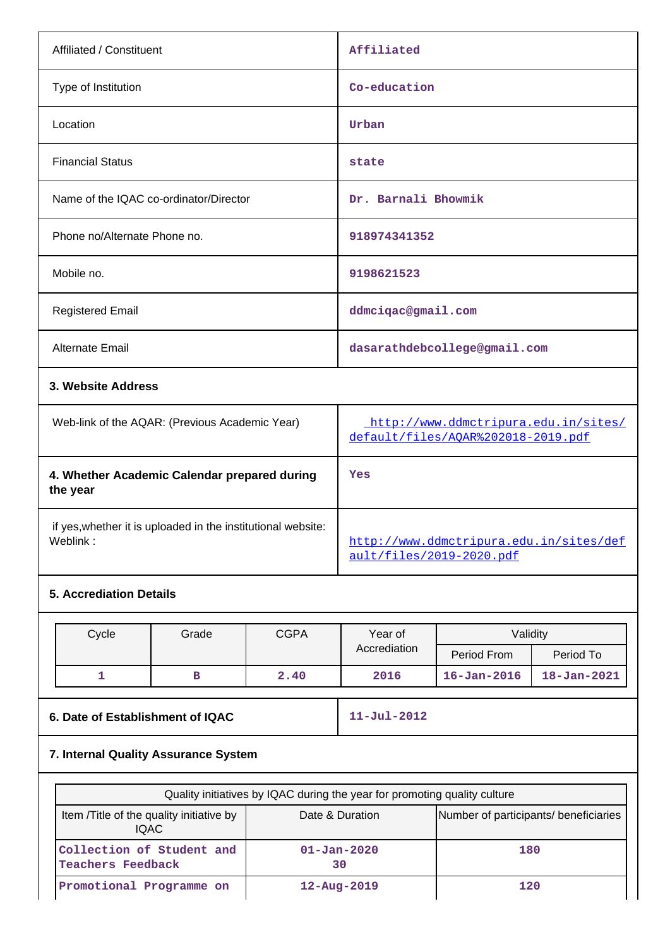| Affiliated / Constituent                                                                                       | Affiliated                                                                 |  |  |  |  |
|----------------------------------------------------------------------------------------------------------------|----------------------------------------------------------------------------|--|--|--|--|
| Type of Institution                                                                                            | Co-education                                                               |  |  |  |  |
| Location                                                                                                       | Urban                                                                      |  |  |  |  |
| <b>Financial Status</b>                                                                                        | state                                                                      |  |  |  |  |
| Name of the IQAC co-ordinator/Director                                                                         | Dr. Barnali Bhowmik                                                        |  |  |  |  |
| Phone no/Alternate Phone no.                                                                                   | 918974341352                                                               |  |  |  |  |
| Mobile no.                                                                                                     | 9198621523                                                                 |  |  |  |  |
| <b>Registered Email</b>                                                                                        | ddmciqac@gmail.com                                                         |  |  |  |  |
| <b>Alternate Email</b>                                                                                         | dasarathdebcollege@gmail.com                                               |  |  |  |  |
| 3. Website Address                                                                                             |                                                                            |  |  |  |  |
| Web-link of the AQAR: (Previous Academic Year)                                                                 | http://www.ddmctripura.edu.in/sites/<br>default/files/AQAR%202018-2019.pdf |  |  |  |  |
| 4. Whether Academic Calendar prepared during<br>the year                                                       | Yes                                                                        |  |  |  |  |
| 40 - 2012 - 2012 12: 2012 12: 2012 12: 2012 12: 2012 12: 2012 12: 2012 12: 2012 12: 2012 12: 2012 12: 2012 12: |                                                                            |  |  |  |  |

if yes,whether it is uploaded in the institutional website:

### **5. Accrediation Details**

| Cycle | Grade | <b>CGPA</b> | Year of      | Validity          |                   |  |
|-------|-------|-------------|--------------|-------------------|-------------------|--|
|       |       |             | Accrediation | Period From       | Period To         |  |
|       |       | 2.40        | 2016         | $16 - Jan - 2016$ | $18 - Jan - 2021$ |  |

**6. Date of Establishment of IQAC 11-Jul-2012**

[http://www.ddmctripura.edu.in/sites/def](http://www.ddmctripura.edu.in/sites/default/files/2019-2020.pdf)

[ault/files/2019-2020.pdf](http://www.ddmctripura.edu.in/sites/default/files/2019-2020.pdf)

# **7. Internal Quality Assurance System**

|                                                       | Quality initiatives by IQAC during the year for promoting quality culture |                                       |  |  |  |  |
|-------------------------------------------------------|---------------------------------------------------------------------------|---------------------------------------|--|--|--|--|
| Item / Title of the quality initiative by<br>IQAC.    | Date & Duration                                                           | Number of participants/ beneficiaries |  |  |  |  |
| Collection of Student and<br><b>Teachers Feedback</b> | $01 - Jan - 2020$<br>30                                                   | 180                                   |  |  |  |  |
| Promotional Programme on                              | $12 - Aug - 2019$                                                         | 120                                   |  |  |  |  |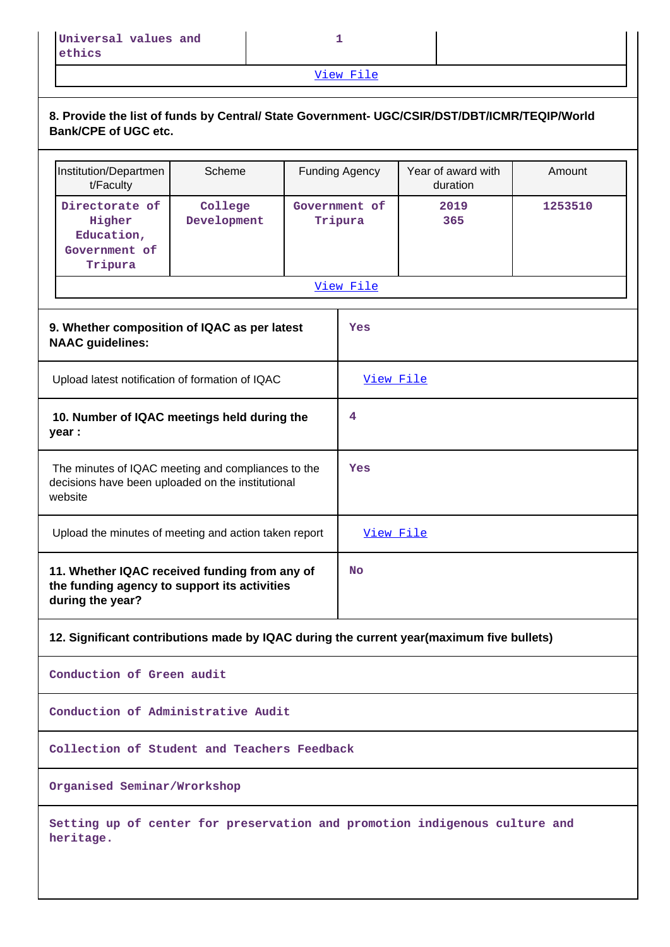[View File](https://assessmentonline.naac.gov.in/public/Postacc/Quality_Initiatives/11886_Quality_Initiatives.xlsx)

|                                                                                | 8. Provide the list of funds by Central/ State Government- UGC/CSIR/DST/DBT/ICMR/TEQIP/World<br><b>Bank/CPE of UGC etc.</b> |                        |  |                          |             |         |  |  |  |  |
|--------------------------------------------------------------------------------|-----------------------------------------------------------------------------------------------------------------------------|------------------------|--|--------------------------|-------------|---------|--|--|--|--|
|                                                                                | Year of award with<br>Institution/Departmen<br>Scheme<br><b>Funding Agency</b><br>Amount<br>t/Faculty<br>duration           |                        |  |                          |             |         |  |  |  |  |
|                                                                                | Directorate of<br>Higher<br>Education,<br>Government of<br>Tripura                                                          | College<br>Development |  | Government of<br>Tripura | 2019<br>365 | 1253510 |  |  |  |  |
|                                                                                |                                                                                                                             |                        |  | View File                |             |         |  |  |  |  |
|                                                                                |                                                                                                                             |                        |  |                          |             |         |  |  |  |  |
| 9. Whether composition of IQAC as per latest<br>Yes<br><b>NAAC guidelines:</b> |                                                                                                                             |                        |  |                          |             |         |  |  |  |  |
|                                                                                | Upload latest notification of formation of IQAC                                                                             |                        |  | View File                |             |         |  |  |  |  |
|                                                                                | 10. Number of IQAC meetings held during the<br>year :                                                                       |                        |  | 4                        |             |         |  |  |  |  |

**Yes**

**No**

**12. Significant contributions made by IQAC during the current year(maximum five bullets)**

**Conduction of Green audit**

website

**during the year?**

**Conduction of Administrative Audit**

 The minutes of IQAC meeting and compliances to the decisions have been uploaded on the institutional

**11. Whether IQAC received funding from any of the funding agency to support its activities**

Upload the minutes of meeting and action taken report [View File](https://assessmentonline.naac.gov.in/public/Postacc/Meeting_minutes/11886_Minutes.pdf)

**Collection of Student and Teachers Feedback**

**Organised Seminar/Wrorkshop**

**Setting up of center for preservation and promotion indigenous culture and heritage.**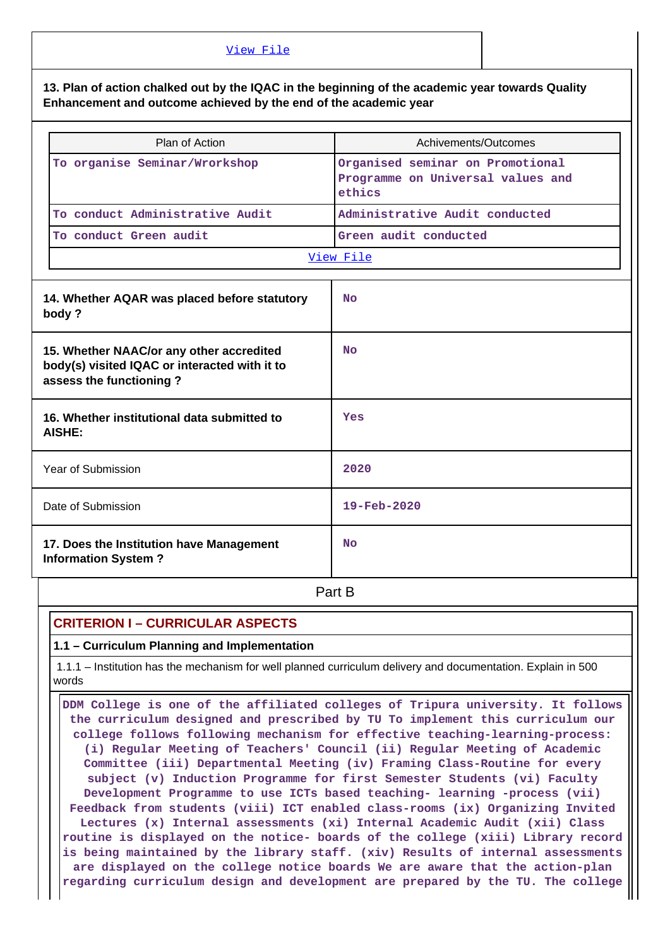#### [View File](https://assessmentonline.naac.gov.in/public/Postacc/Contribution/11886_Contribution.xlsx)

**13. Plan of action chalked out by the IQAC in the beginning of the academic year towards Quality Enhancement and outcome achieved by the end of the academic year**

| Plan of Action                  | Achivements/Outcomes                                                            |  |  |  |
|---------------------------------|---------------------------------------------------------------------------------|--|--|--|
| To organise Seminar/Wrorkshop   | Organised seminar on Promotional<br>Programme on Universal values and<br>ethics |  |  |  |
| To conduct Administrative Audit | Administrative Audit conducted                                                  |  |  |  |
| To conduct Green audit          | Green audit conducted                                                           |  |  |  |
| View File                       |                                                                                 |  |  |  |

| 14. Whether AQAR was placed before statutory<br>body?                                                                | <b>No</b>                |
|----------------------------------------------------------------------------------------------------------------------|--------------------------|
| 15. Whether NAAC/or any other accredited<br>body(s) visited IQAC or interacted with it to<br>assess the functioning? | <b>No</b>                |
| 16. Whether institutional data submitted to<br>AISHE:                                                                | Yes                      |
| Year of Submission                                                                                                   | 2020                     |
| Date of Submission                                                                                                   | $19 - \text{Feb} - 2020$ |
| 17. Does the Institution have Management<br><b>Information System?</b>                                               | <b>No</b>                |

**Part B** 

## **CRITERION I – CURRICULAR ASPECTS**

**1.1 – Curriculum Planning and Implementation**

 1.1.1 – Institution has the mechanism for well planned curriculum delivery and documentation. Explain in 500 words

 **DDM College is one of the affiliated colleges of Tripura university. It follows the curriculum designed and prescribed by TU To implement this curriculum our college follows following mechanism for effective teaching-learning-process: (i) Regular Meeting of Teachers' Council (ii) Regular Meeting of Academic Committee (iii) Departmental Meeting (iv) Framing Class-Routine for every subject (v) Induction Programme for first Semester Students (vi) Faculty Development Programme to use ICTs based teaching- learning -process (vii) Feedback from students (viii) ICT enabled class-rooms (ix) Organizing Invited Lectures (x) Internal assessments (xi) Internal Academic Audit (xii) Class routine is displayed on the notice- boards of the college (xiii) Library record is being maintained by the library staff. (xiv) Results of internal assessments are displayed on the college notice boards We are aware that the action-plan regarding curriculum design and development are prepared by the TU. The college**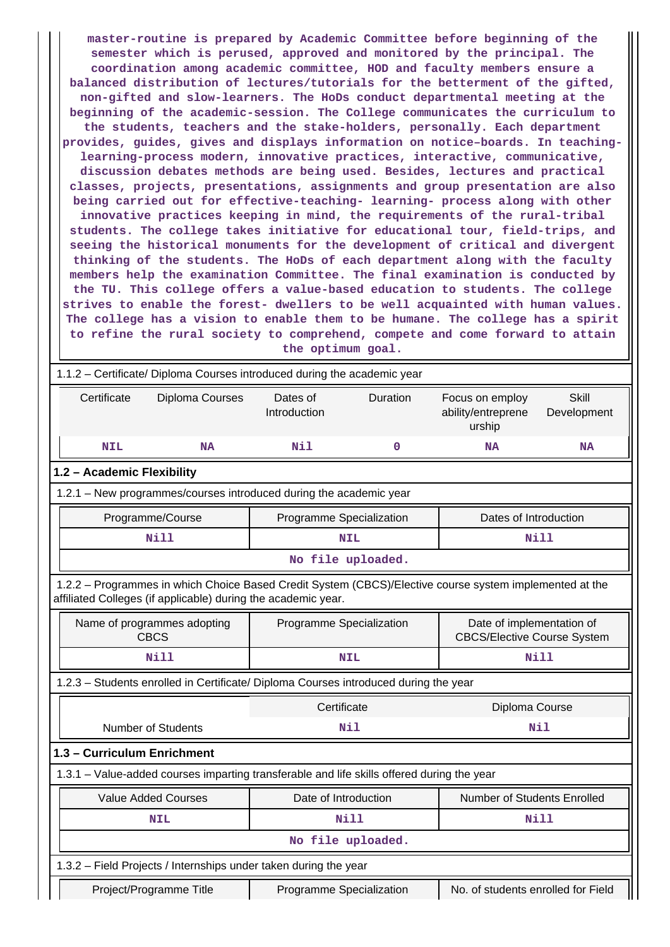**master-routine is prepared by Academic Committee before beginning of the semester which is perused, approved and monitored by the principal. The coordination among academic committee, HOD and faculty members ensure a balanced distribution of lectures/tutorials for the betterment of the gifted, non-gifted and slow-learners. The HoDs conduct departmental meeting at the beginning of the academic-session. The College communicates the curriculum to the students, teachers and the stake-holders, personally. Each department provides, guides, gives and displays information on notice–boards. In teachinglearning-process modern, innovative practices, interactive, communicative, discussion debates methods are being used. Besides, lectures and practical classes, projects, presentations, assignments and group presentation are also being carried out for effective-teaching- learning- process along with other innovative practices keeping in mind, the requirements of the rural-tribal students. The college takes initiative for educational tour, field-trips, and seeing the historical monuments for the development of critical and divergent thinking of the students. The HoDs of each department along with the faculty members help the examination Committee. The final examination is conducted by the TU. This college offers a value-based education to students. The college strives to enable the forest- dwellers to be well acquainted with human values. The college has a vision to enable them to be humane. The college has a spirit to refine the rural society to comprehend, compete and come forward to attain the optimum goal.**

| 1.1.2 - Certificate/ Diploma Courses introduced during the academic year                                                                                                 |                                                                                            |                                      |                   |                                                                 |                      |  |  |  |
|--------------------------------------------------------------------------------------------------------------------------------------------------------------------------|--------------------------------------------------------------------------------------------|--------------------------------------|-------------------|-----------------------------------------------------------------|----------------------|--|--|--|
| Certificate                                                                                                                                                              | Diploma Courses                                                                            | Dates of<br>Duration<br>Introduction |                   | Focus on employ<br>ability/entreprene<br>urship                 | Skill<br>Development |  |  |  |
| <b>NIL</b>                                                                                                                                                               | <b>NA</b>                                                                                  | Nil                                  | $\mathbf 0$       | <b>NA</b>                                                       | <b>NA</b>            |  |  |  |
| 1.2 - Academic Flexibility                                                                                                                                               |                                                                                            |                                      |                   |                                                                 |                      |  |  |  |
| 1.2.1 - New programmes/courses introduced during the academic year                                                                                                       |                                                                                            |                                      |                   |                                                                 |                      |  |  |  |
|                                                                                                                                                                          | Programme/Course                                                                           | Programme Specialization             |                   | Dates of Introduction                                           |                      |  |  |  |
|                                                                                                                                                                          | <b>Nill</b>                                                                                |                                      | <b>NIL</b>        | Nill                                                            |                      |  |  |  |
|                                                                                                                                                                          |                                                                                            |                                      | No file uploaded. |                                                                 |                      |  |  |  |
| 1.2.2 - Programmes in which Choice Based Credit System (CBCS)/Elective course system implemented at the<br>affiliated Colleges (if applicable) during the academic year. |                                                                                            |                                      |                   |                                                                 |                      |  |  |  |
|                                                                                                                                                                          | Name of programmes adopting<br><b>CBCS</b>                                                 | Programme Specialization             |                   | Date of implementation of<br><b>CBCS/Elective Course System</b> |                      |  |  |  |
|                                                                                                                                                                          | Nill                                                                                       |                                      | <b>NIL</b>        | <b>Nill</b>                                                     |                      |  |  |  |
|                                                                                                                                                                          | 1.2.3 - Students enrolled in Certificate/ Diploma Courses introduced during the year       |                                      |                   |                                                                 |                      |  |  |  |
|                                                                                                                                                                          |                                                                                            | Certificate                          |                   | Diploma Course                                                  |                      |  |  |  |
|                                                                                                                                                                          | <b>Number of Students</b>                                                                  |                                      | Nil               | Nil                                                             |                      |  |  |  |
| 1.3 - Curriculum Enrichment                                                                                                                                              |                                                                                            |                                      |                   |                                                                 |                      |  |  |  |
|                                                                                                                                                                          | 1.3.1 – Value-added courses imparting transferable and life skills offered during the year |                                      |                   |                                                                 |                      |  |  |  |
|                                                                                                                                                                          | <b>Value Added Courses</b>                                                                 | Date of Introduction                 |                   | Number of Students Enrolled                                     |                      |  |  |  |
|                                                                                                                                                                          | <b>NIL</b>                                                                                 |                                      | Nill              | <b>Nill</b>                                                     |                      |  |  |  |
|                                                                                                                                                                          |                                                                                            |                                      | No file uploaded. |                                                                 |                      |  |  |  |
|                                                                                                                                                                          | 1.3.2 - Field Projects / Internships under taken during the year                           |                                      |                   |                                                                 |                      |  |  |  |
| Project/Programme Title<br>Programme Specialization<br>No. of students enrolled for Field                                                                                |                                                                                            |                                      |                   |                                                                 |                      |  |  |  |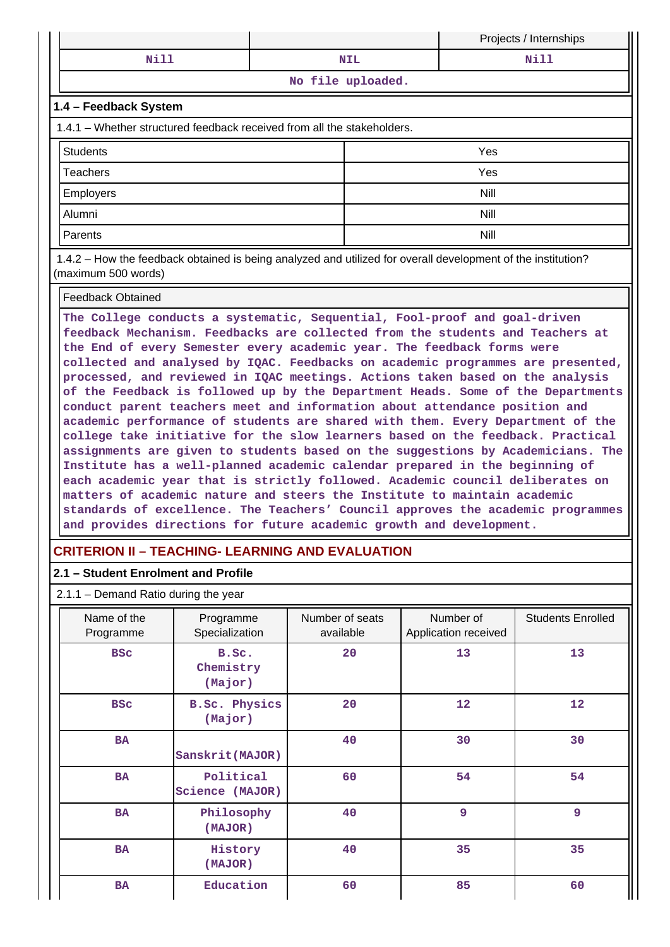|                    |  | Projects / Internships |  |  |  |  |
|--------------------|--|------------------------|--|--|--|--|
| Mi 1               |  | ស÷ា                    |  |  |  |  |
| ATA ASTA GALLANDAR |  |                        |  |  |  |  |

**No file uploaded.**

#### **1.4 – Feedback System**

1.4.1 – Whether structured feedback received from all the stakeholders.

| Students  | Yes         |
|-----------|-------------|
| Teachers  | Yes         |
| Employers | <b>Nill</b> |
| Alumni    | <b>Nill</b> |
| Parents   | Nill        |

 1.4.2 – How the feedback obtained is being analyzed and utilized for overall development of the institution? (maximum 500 words)

#### Feedback Obtained

**The College conducts a systematic, Sequential, Fool-proof and goal-driven feedback Mechanism. Feedbacks are collected from the students and Teachers at the End of every Semester every academic year. The feedback forms were collected and analysed by IQAC. Feedbacks on academic programmes are presented, processed, and reviewed in IQAC meetings. Actions taken based on the analysis of the Feedback is followed up by the Department Heads. Some of the Departments conduct parent teachers meet and information about attendance position and academic performance of students are shared with them. Every Department of the college take initiative for the slow learners based on the feedback. Practical assignments are given to students based on the suggestions by Academicians. The Institute has a well-planned academic calendar prepared in the beginning of each academic year that is strictly followed. Academic council deliberates on matters of academic nature and steers the Institute to maintain academic standards of excellence. The Teachers' Council approves the academic programmes and provides directions for future academic growth and development.**

## **CRITERION II – TEACHING- LEARNING AND EVALUATION**

### **2.1 – Student Enrolment and Profile**

#### 2.1.1 – Demand Ratio during the year

| Name of the<br>Programme                    | Number of seats<br>Programme<br>Specialization<br>available |    | Number of<br>Application received | <b>Students Enrolled</b> |
|---------------------------------------------|-------------------------------------------------------------|----|-----------------------------------|--------------------------|
| <b>BSC</b><br>B.Sc.<br>Chemistry<br>(Major) |                                                             | 20 | 13                                | 13                       |
| <b>BSC</b>                                  | <b>B.Sc. Physics</b><br>(Major)                             | 20 | $12 \overline{ }$                 | 12                       |
| <b>BA</b>                                   | Sanskrit (MAJOR)                                            | 40 | 30                                | 30                       |
| <b>BA</b>                                   | Political<br>Science (MAJOR)                                | 60 | 54                                | 54                       |
| <b>BA</b>                                   | Philosophy<br>(MAJOR)                                       | 40 | 9                                 | 9                        |
| <b>BA</b>                                   | History<br>(MAJOR)                                          | 40 | 35                                | 35                       |
| <b>BA</b>                                   | Education                                                   | 60 | 85                                | 60                       |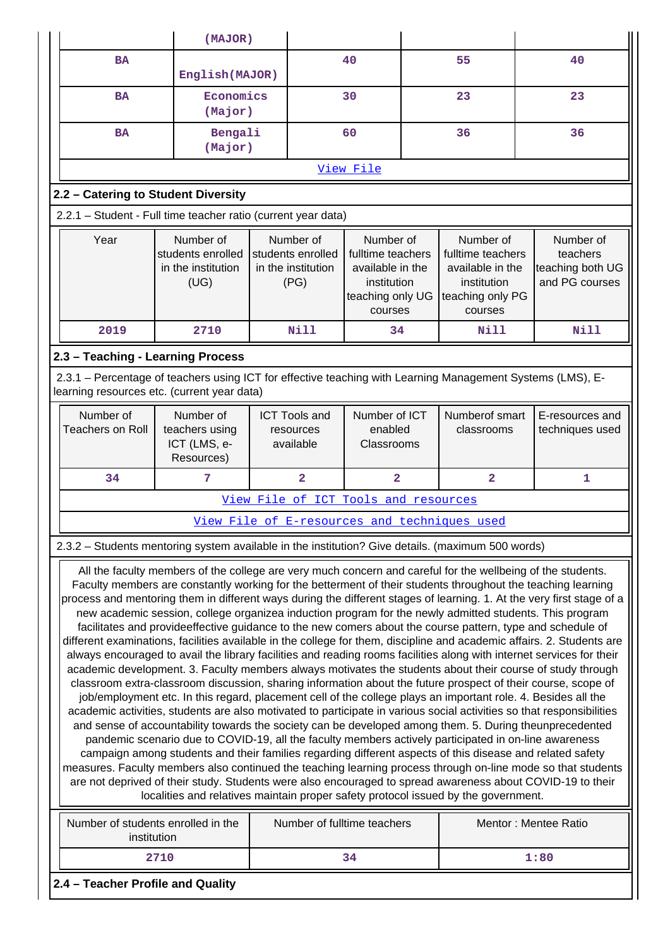| (MAJOR)                                                                                                                                                                                                                                                                                                                                                                                                                                                                                                                                                                                                                                                                                                                                                                                                                                                                                                                                                                                                                                                                                                                                                                                                                                                                                                                                                                                                                                                                                                                                                                                                                                                                                                                                                                                                                                                                                                                                                        |                                                                                                                                                           |                                         |                                                              |                                                                                                  |  |                                                                                                         |  |                                                             |
|----------------------------------------------------------------------------------------------------------------------------------------------------------------------------------------------------------------------------------------------------------------------------------------------------------------------------------------------------------------------------------------------------------------------------------------------------------------------------------------------------------------------------------------------------------------------------------------------------------------------------------------------------------------------------------------------------------------------------------------------------------------------------------------------------------------------------------------------------------------------------------------------------------------------------------------------------------------------------------------------------------------------------------------------------------------------------------------------------------------------------------------------------------------------------------------------------------------------------------------------------------------------------------------------------------------------------------------------------------------------------------------------------------------------------------------------------------------------------------------------------------------------------------------------------------------------------------------------------------------------------------------------------------------------------------------------------------------------------------------------------------------------------------------------------------------------------------------------------------------------------------------------------------------------------------------------------------------|-----------------------------------------------------------------------------------------------------------------------------------------------------------|-----------------------------------------|--------------------------------------------------------------|--------------------------------------------------------------------------------------------------|--|---------------------------------------------------------------------------------------------------------|--|-------------------------------------------------------------|
| <b>BA</b>                                                                                                                                                                                                                                                                                                                                                                                                                                                                                                                                                                                                                                                                                                                                                                                                                                                                                                                                                                                                                                                                                                                                                                                                                                                                                                                                                                                                                                                                                                                                                                                                                                                                                                                                                                                                                                                                                                                                                      |                                                                                                                                                           | English (MAJOR)<br>Economics<br>(Major) |                                                              | 40                                                                                               |  | 55                                                                                                      |  | 40                                                          |
| <b>BA</b>                                                                                                                                                                                                                                                                                                                                                                                                                                                                                                                                                                                                                                                                                                                                                                                                                                                                                                                                                                                                                                                                                                                                                                                                                                                                                                                                                                                                                                                                                                                                                                                                                                                                                                                                                                                                                                                                                                                                                      |                                                                                                                                                           |                                         |                                                              | 30                                                                                               |  | 23                                                                                                      |  | 23                                                          |
| <b>BA</b>                                                                                                                                                                                                                                                                                                                                                                                                                                                                                                                                                                                                                                                                                                                                                                                                                                                                                                                                                                                                                                                                                                                                                                                                                                                                                                                                                                                                                                                                                                                                                                                                                                                                                                                                                                                                                                                                                                                                                      |                                                                                                                                                           | Bengali<br>(Major)                      |                                                              | 60                                                                                               |  | 36                                                                                                      |  | 36                                                          |
|                                                                                                                                                                                                                                                                                                                                                                                                                                                                                                                                                                                                                                                                                                                                                                                                                                                                                                                                                                                                                                                                                                                                                                                                                                                                                                                                                                                                                                                                                                                                                                                                                                                                                                                                                                                                                                                                                                                                                                |                                                                                                                                                           |                                         |                                                              | View File                                                                                        |  |                                                                                                         |  |                                                             |
| 2.2 - Catering to Student Diversity                                                                                                                                                                                                                                                                                                                                                                                                                                                                                                                                                                                                                                                                                                                                                                                                                                                                                                                                                                                                                                                                                                                                                                                                                                                                                                                                                                                                                                                                                                                                                                                                                                                                                                                                                                                                                                                                                                                            |                                                                                                                                                           |                                         |                                                              |                                                                                                  |  |                                                                                                         |  |                                                             |
|                                                                                                                                                                                                                                                                                                                                                                                                                                                                                                                                                                                                                                                                                                                                                                                                                                                                                                                                                                                                                                                                                                                                                                                                                                                                                                                                                                                                                                                                                                                                                                                                                                                                                                                                                                                                                                                                                                                                                                | 2.2.1 - Student - Full time teacher ratio (current year data)                                                                                             |                                         |                                                              |                                                                                                  |  |                                                                                                         |  |                                                             |
| Year                                                                                                                                                                                                                                                                                                                                                                                                                                                                                                                                                                                                                                                                                                                                                                                                                                                                                                                                                                                                                                                                                                                                                                                                                                                                                                                                                                                                                                                                                                                                                                                                                                                                                                                                                                                                                                                                                                                                                           | Number of<br>students enrolled<br>in the institution<br>(UG)                                                                                              |                                         | Number of<br>students enrolled<br>in the institution<br>(PG) | Number of<br>fulltime teachers<br>available in the<br>institution<br>teaching only UG<br>courses |  | Number of<br>fulltime teachers<br>available in the<br>institution<br>teaching only PG<br><b>COULSES</b> |  | Number of<br>teachers<br>teaching both UG<br>and PG courses |
| 2019                                                                                                                                                                                                                                                                                                                                                                                                                                                                                                                                                                                                                                                                                                                                                                                                                                                                                                                                                                                                                                                                                                                                                                                                                                                                                                                                                                                                                                                                                                                                                                                                                                                                                                                                                                                                                                                                                                                                                           | 2710                                                                                                                                                      |                                         | Nill                                                         | 34                                                                                               |  | Nill                                                                                                    |  | Nill                                                        |
| 2.3 - Teaching - Learning Process                                                                                                                                                                                                                                                                                                                                                                                                                                                                                                                                                                                                                                                                                                                                                                                                                                                                                                                                                                                                                                                                                                                                                                                                                                                                                                                                                                                                                                                                                                                                                                                                                                                                                                                                                                                                                                                                                                                              |                                                                                                                                                           |                                         |                                                              |                                                                                                  |  |                                                                                                         |  |                                                             |
|                                                                                                                                                                                                                                                                                                                                                                                                                                                                                                                                                                                                                                                                                                                                                                                                                                                                                                                                                                                                                                                                                                                                                                                                                                                                                                                                                                                                                                                                                                                                                                                                                                                                                                                                                                                                                                                                                                                                                                | 2.3.1 – Percentage of teachers using ICT for effective teaching with Learning Management Systems (LMS), E-<br>learning resources etc. (current year data) |                                         |                                                              |                                                                                                  |  |                                                                                                         |  |                                                             |
| Number of<br>Number of<br><b>Teachers on Roll</b><br>teachers using<br>ICT (LMS, e-<br>Resources)                                                                                                                                                                                                                                                                                                                                                                                                                                                                                                                                                                                                                                                                                                                                                                                                                                                                                                                                                                                                                                                                                                                                                                                                                                                                                                                                                                                                                                                                                                                                                                                                                                                                                                                                                                                                                                                              |                                                                                                                                                           |                                         | <b>ICT Tools and</b><br>resources<br>available               | Number of ICT<br>enabled<br>Classrooms                                                           |  | Numberof smart<br>classrooms                                                                            |  | E-resources and<br>techniques used                          |
| 34                                                                                                                                                                                                                                                                                                                                                                                                                                                                                                                                                                                                                                                                                                                                                                                                                                                                                                                                                                                                                                                                                                                                                                                                                                                                                                                                                                                                                                                                                                                                                                                                                                                                                                                                                                                                                                                                                                                                                             | 7                                                                                                                                                         |                                         | $\overline{2}$                                               | $\overline{2}$                                                                                   |  | $\overline{2}$                                                                                          |  | 1                                                           |
|                                                                                                                                                                                                                                                                                                                                                                                                                                                                                                                                                                                                                                                                                                                                                                                                                                                                                                                                                                                                                                                                                                                                                                                                                                                                                                                                                                                                                                                                                                                                                                                                                                                                                                                                                                                                                                                                                                                                                                |                                                                                                                                                           |                                         | View File of ICT Tools and resources                         |                                                                                                  |  |                                                                                                         |  |                                                             |
|                                                                                                                                                                                                                                                                                                                                                                                                                                                                                                                                                                                                                                                                                                                                                                                                                                                                                                                                                                                                                                                                                                                                                                                                                                                                                                                                                                                                                                                                                                                                                                                                                                                                                                                                                                                                                                                                                                                                                                |                                                                                                                                                           |                                         |                                                              |                                                                                                  |  | View File of E-resources and techniques used                                                            |  |                                                             |
|                                                                                                                                                                                                                                                                                                                                                                                                                                                                                                                                                                                                                                                                                                                                                                                                                                                                                                                                                                                                                                                                                                                                                                                                                                                                                                                                                                                                                                                                                                                                                                                                                                                                                                                                                                                                                                                                                                                                                                | 2.3.2 - Students mentoring system available in the institution? Give details. (maximum 500 words)                                                         |                                         |                                                              |                                                                                                  |  |                                                                                                         |  |                                                             |
| All the faculty members of the college are very much concern and careful for the wellbeing of the students.<br>Faculty members are constantly working for the betterment of their students throughout the teaching learning<br>process and mentoring them in different ways during the different stages of learning. 1. At the very first stage of a<br>new academic session, college organizea induction program for the newly admitted students. This program<br>facilitates and provideeffective guidance to the new comers about the course pattern, type and schedule of<br>different examinations, facilities available in the college for them, discipline and academic affairs. 2. Students are<br>always encouraged to avail the library facilities and reading rooms facilities along with internet services for their<br>academic development. 3. Faculty members always motivates the students about their course of study through<br>classroom extra-classroom discussion, sharing information about the future prospect of their course, scope of<br>job/employment etc. In this regard, placement cell of the college plays an important role. 4. Besides all the<br>academic activities, students are also motivated to participate in various social activities so that responsibilities<br>and sense of accountability towards the society can be developed among them. 5. During theunprecedented<br>pandemic scenario due to COVID-19, all the faculty members actively participated in on-line awareness<br>campaign among students and their families regarding different aspects of this disease and related safety<br>measures. Faculty members also continued the teaching learning process through on-line mode so that students<br>are not deprived of their study. Students were also encouraged to spread awareness about COVID-19 to their<br>localities and relatives maintain proper safety protocol issued by the government. |                                                                                                                                                           |                                         |                                                              |                                                                                                  |  |                                                                                                         |  |                                                             |
| Number of students enrolled in the<br>institution                                                                                                                                                                                                                                                                                                                                                                                                                                                                                                                                                                                                                                                                                                                                                                                                                                                                                                                                                                                                                                                                                                                                                                                                                                                                                                                                                                                                                                                                                                                                                                                                                                                                                                                                                                                                                                                                                                              |                                                                                                                                                           |                                         | Number of fulltime teachers                                  |                                                                                                  |  |                                                                                                         |  | Mentor: Mentee Ratio                                        |
|                                                                                                                                                                                                                                                                                                                                                                                                                                                                                                                                                                                                                                                                                                                                                                                                                                                                                                                                                                                                                                                                                                                                                                                                                                                                                                                                                                                                                                                                                                                                                                                                                                                                                                                                                                                                                                                                                                                                                                | 2710                                                                                                                                                      |                                         |                                                              | 34                                                                                               |  |                                                                                                         |  | 1:80                                                        |
| 2.4 - Teacher Profile and Quality                                                                                                                                                                                                                                                                                                                                                                                                                                                                                                                                                                                                                                                                                                                                                                                                                                                                                                                                                                                                                                                                                                                                                                                                                                                                                                                                                                                                                                                                                                                                                                                                                                                                                                                                                                                                                                                                                                                              |                                                                                                                                                           |                                         |                                                              |                                                                                                  |  |                                                                                                         |  |                                                             |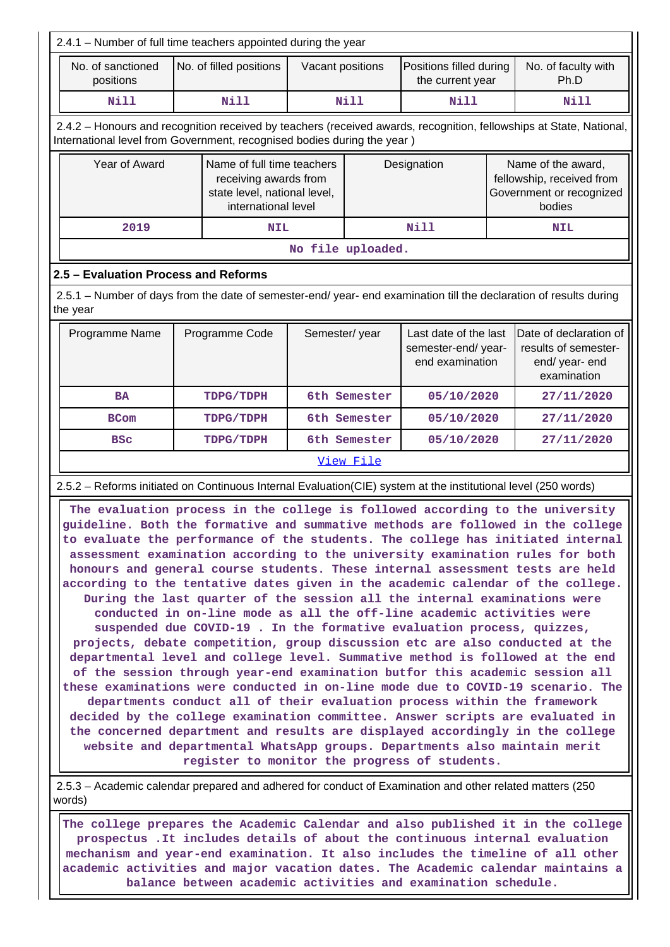| 2.4.1 - Number of full time teachers appointed during the year                                                                                                                                                                                                                                                                                                                                                                                                                                                                                                                                                                                                                                                                                                                                                                                                                                                                                                                                                                                                                                                                                                                                                                                                                                                                                                                                                                                                                                                                                                             |  |                         |                   |                                                                                 |                                             |                                                                                       |                                                                                 |  |  |
|----------------------------------------------------------------------------------------------------------------------------------------------------------------------------------------------------------------------------------------------------------------------------------------------------------------------------------------------------------------------------------------------------------------------------------------------------------------------------------------------------------------------------------------------------------------------------------------------------------------------------------------------------------------------------------------------------------------------------------------------------------------------------------------------------------------------------------------------------------------------------------------------------------------------------------------------------------------------------------------------------------------------------------------------------------------------------------------------------------------------------------------------------------------------------------------------------------------------------------------------------------------------------------------------------------------------------------------------------------------------------------------------------------------------------------------------------------------------------------------------------------------------------------------------------------------------------|--|-------------------------|-------------------|---------------------------------------------------------------------------------|---------------------------------------------|---------------------------------------------------------------------------------------|---------------------------------------------------------------------------------|--|--|
| No. of sanctioned<br>positions                                                                                                                                                                                                                                                                                                                                                                                                                                                                                                                                                                                                                                                                                                                                                                                                                                                                                                                                                                                                                                                                                                                                                                                                                                                                                                                                                                                                                                                                                                                                             |  | No. of filled positions | Vacant positions  |                                                                                 | Positions filled during<br>the current year |                                                                                       | No. of faculty with<br>Ph.D                                                     |  |  |
| <b>Nill</b>                                                                                                                                                                                                                                                                                                                                                                                                                                                                                                                                                                                                                                                                                                                                                                                                                                                                                                                                                                                                                                                                                                                                                                                                                                                                                                                                                                                                                                                                                                                                                                |  | <b>Nill</b>             |                   | Nill                                                                            | <b>Nill</b>                                 |                                                                                       | Nill                                                                            |  |  |
| 2.4.2 - Honours and recognition received by teachers (received awards, recognition, fellowships at State, National,<br>International level from Government, recognised bodies during the year)                                                                                                                                                                                                                                                                                                                                                                                                                                                                                                                                                                                                                                                                                                                                                                                                                                                                                                                                                                                                                                                                                                                                                                                                                                                                                                                                                                             |  |                         |                   |                                                                                 |                                             |                                                                                       |                                                                                 |  |  |
| Year of Award<br>Name of full time teachers<br>receiving awards from<br>state level, national level,<br>international level                                                                                                                                                                                                                                                                                                                                                                                                                                                                                                                                                                                                                                                                                                                                                                                                                                                                                                                                                                                                                                                                                                                                                                                                                                                                                                                                                                                                                                                |  |                         |                   | Designation                                                                     |                                             | Name of the award,<br>fellowship, received from<br>Government or recognized<br>bodies |                                                                                 |  |  |
| 2019                                                                                                                                                                                                                                                                                                                                                                                                                                                                                                                                                                                                                                                                                                                                                                                                                                                                                                                                                                                                                                                                                                                                                                                                                                                                                                                                                                                                                                                                                                                                                                       |  | <b>NIL</b>              |                   |                                                                                 | Nill                                        |                                                                                       | <b>NIL</b>                                                                      |  |  |
|                                                                                                                                                                                                                                                                                                                                                                                                                                                                                                                                                                                                                                                                                                                                                                                                                                                                                                                                                                                                                                                                                                                                                                                                                                                                                                                                                                                                                                                                                                                                                                            |  |                         | No file uploaded. |                                                                                 |                                             |                                                                                       |                                                                                 |  |  |
| 2.5 - Evaluation Process and Reforms                                                                                                                                                                                                                                                                                                                                                                                                                                                                                                                                                                                                                                                                                                                                                                                                                                                                                                                                                                                                                                                                                                                                                                                                                                                                                                                                                                                                                                                                                                                                       |  |                         |                   |                                                                                 |                                             |                                                                                       |                                                                                 |  |  |
| 2.5.1 - Number of days from the date of semester-end/ year- end examination till the declaration of results during<br>the year                                                                                                                                                                                                                                                                                                                                                                                                                                                                                                                                                                                                                                                                                                                                                                                                                                                                                                                                                                                                                                                                                                                                                                                                                                                                                                                                                                                                                                             |  |                         |                   |                                                                                 |                                             |                                                                                       |                                                                                 |  |  |
| Programme Name                                                                                                                                                                                                                                                                                                                                                                                                                                                                                                                                                                                                                                                                                                                                                                                                                                                                                                                                                                                                                                                                                                                                                                                                                                                                                                                                                                                                                                                                                                                                                             |  | Programme Code          |                   | Last date of the last<br>Semester/year<br>semester-end/year-<br>end examination |                                             |                                                                                       | Date of declaration of<br>results of semester-<br>end/ year- end<br>examination |  |  |
| <b>BA</b>                                                                                                                                                                                                                                                                                                                                                                                                                                                                                                                                                                                                                                                                                                                                                                                                                                                                                                                                                                                                                                                                                                                                                                                                                                                                                                                                                                                                                                                                                                                                                                  |  | TDPG/TDPH               |                   | 6th Semester<br>05/10/2020                                                      |                                             |                                                                                       | 27/11/2020                                                                      |  |  |
| <b>BCom</b>                                                                                                                                                                                                                                                                                                                                                                                                                                                                                                                                                                                                                                                                                                                                                                                                                                                                                                                                                                                                                                                                                                                                                                                                                                                                                                                                                                                                                                                                                                                                                                |  | TDPG/TDPH               |                   | 6th Semester                                                                    | 05/10/2020                                  |                                                                                       | 27/11/2020                                                                      |  |  |
| <b>BSC</b>                                                                                                                                                                                                                                                                                                                                                                                                                                                                                                                                                                                                                                                                                                                                                                                                                                                                                                                                                                                                                                                                                                                                                                                                                                                                                                                                                                                                                                                                                                                                                                 |  | TDPG/TDPH               |                   | 6th Semester                                                                    | 05/10/2020                                  |                                                                                       | 27/11/2020                                                                      |  |  |
|                                                                                                                                                                                                                                                                                                                                                                                                                                                                                                                                                                                                                                                                                                                                                                                                                                                                                                                                                                                                                                                                                                                                                                                                                                                                                                                                                                                                                                                                                                                                                                            |  |                         |                   | View File                                                                       |                                             |                                                                                       |                                                                                 |  |  |
|                                                                                                                                                                                                                                                                                                                                                                                                                                                                                                                                                                                                                                                                                                                                                                                                                                                                                                                                                                                                                                                                                                                                                                                                                                                                                                                                                                                                                                                                                                                                                                            |  |                         |                   |                                                                                 |                                             |                                                                                       |                                                                                 |  |  |
| 2.5.2 - Reforms initiated on Continuous Internal Evaluation(CIE) system at the institutional level (250 words)<br>The evaluation process in the college is followed according to the university<br>guideline. Both the formative and summative methods are followed in the college<br>to evaluate the performance of the students. The college has initiated internal<br>assessment examination according to the university examination rules for both<br>honours and general course students. These internal assessment tests are held<br>according to the tentative dates given in the academic calendar of the college.<br>During the last quarter of the session all the internal examinations were<br>conducted in on-line mode as all the off-line academic activities were<br>suspended due COVID-19. In the formative evaluation process, quizzes,<br>projects, debate competition, group discussion etc are also conducted at the<br>departmental level and college level. Summative method is followed at the end<br>of the session through year-end examination butfor this academic session all<br>these examinations were conducted in on-line mode due to COVID-19 scenario. The<br>departments conduct all of their evaluation process within the framework<br>decided by the college examination committee. Answer scripts are evaluated in<br>the concerned department and results are displayed accordingly in the college<br>website and departmental WhatsApp groups. Departments also maintain merit<br>register to monitor the progress of students. |  |                         |                   |                                                                                 |                                             |                                                                                       |                                                                                 |  |  |

 2.5.3 – Academic calendar prepared and adhered for conduct of Examination and other related matters (250 words)

 **The college prepares the Academic Calendar and also published it in the college prospectus .It includes details of about the continuous internal evaluation mechanism and year-end examination. It also includes the timeline of all other academic activities and major vacation dates. The Academic calendar maintains a balance between academic activities and examination schedule.**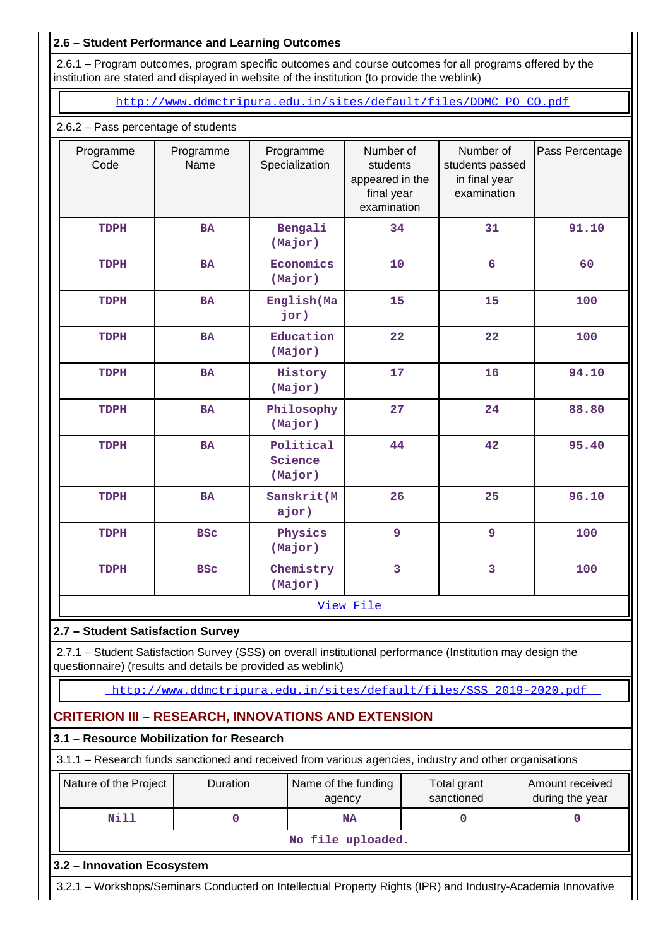### **2.6 – Student Performance and Learning Outcomes**

 2.6.1 – Program outcomes, program specific outcomes and course outcomes for all programs offered by the institution are stated and displayed in website of the institution (to provide the weblink)

[http://www.ddmctripura.edu.in/sites/default/files/DDMC\\_PO\\_CO.pdf](http://www.ddmctripura.edu.in/sites/default/files/DDMC_PO_CO.pdf)

#### 2.6.2 – Pass percentage of students

| Programme<br>Code                                                                                                                                                         | Programme<br>Name | Programme<br>Specialization                                         | Number of<br>students<br>appeared in the<br>final year<br>examination | Number of<br>students passed<br>in final year<br>examination | Pass Percentage |  |
|---------------------------------------------------------------------------------------------------------------------------------------------------------------------------|-------------------|---------------------------------------------------------------------|-----------------------------------------------------------------------|--------------------------------------------------------------|-----------------|--|
| TDPH                                                                                                                                                                      | <b>BA</b>         | Bengali<br>(Major)                                                  | 34                                                                    | 31                                                           | 91.10           |  |
| TDPH                                                                                                                                                                      | <b>BA</b>         | Economics<br>(Major)                                                | 10                                                                    | 6                                                            | 60              |  |
| TDPH                                                                                                                                                                      | <b>BA</b>         | English(Ma<br>jor)                                                  | 15                                                                    | 15                                                           | 100             |  |
| TDPH                                                                                                                                                                      | <b>BA</b>         | Education<br>(Major)                                                | 22                                                                    | 22                                                           | 100             |  |
| TDPH                                                                                                                                                                      | <b>BA</b>         | History<br>(Major)                                                  | 17                                                                    | 16                                                           | 94.10           |  |
| TDPH                                                                                                                                                                      | <b>BA</b>         | Philosophy<br>(Major)                                               | 27                                                                    | 24                                                           | 88.80           |  |
| TDPH                                                                                                                                                                      | BA                | Political<br>Science<br>(Major)                                     | 44                                                                    | 42                                                           | 95.40           |  |
| TDPH                                                                                                                                                                      | <b>BA</b>         | Sanskrit (M<br>ajor)                                                | 26                                                                    | 25                                                           | 96.10           |  |
| TDPH                                                                                                                                                                      | <b>BSC</b>        | Physics<br>(Major)                                                  | 9                                                                     | 9                                                            | 100             |  |
| TDPH                                                                                                                                                                      | <b>BSC</b>        | Chemistry<br>(Major)                                                | $\overline{3}$                                                        | 3                                                            | 100             |  |
|                                                                                                                                                                           |                   |                                                                     | View File                                                             |                                                              |                 |  |
| 2.7 - Student Satisfaction Survey                                                                                                                                         |                   |                                                                     |                                                                       |                                                              |                 |  |
| 2.7.1 - Student Satisfaction Survey (SSS) on overall institutional performance (Institution may design the<br>questionnaire) (results and details be provided as weblink) |                   |                                                                     |                                                                       |                                                              |                 |  |
|                                                                                                                                                                           |                   | http://www.ddmctripura.edu.in/sites/default/files/SSS 2019-2020.pdf |                                                                       |                                                              |                 |  |
| <b>CRITERION III - RESEARCH, INNOVATIONS AND EXTENSION</b>                                                                                                                |                   |                                                                     |                                                                       |                                                              |                 |  |
| 3.1 - Resource Mobilization for Research                                                                                                                                  |                   |                                                                     |                                                                       |                                                              |                 |  |
| 3.1.1 - Research funds sanctioned and received from various agencies, industry and other organisations                                                                    |                   |                                                                     |                                                                       |                                                              |                 |  |
| Duration<br>Nature of the Project<br>Name of the funding<br>Total grant<br>Amount received<br>sanctioned<br>during the year<br>agency                                     |                   |                                                                     |                                                                       |                                                              |                 |  |
| <b>Nill</b>                                                                                                                                                               | 0                 |                                                                     | <b>NA</b>                                                             | 0                                                            | 0               |  |
|                                                                                                                                                                           |                   |                                                                     | No file uploaded.                                                     |                                                              |                 |  |
| 3.2 - Innovation Ecosystem                                                                                                                                                |                   |                                                                     |                                                                       |                                                              |                 |  |
| 3.2.1 - Workshops/Seminars Conducted on Intellectual Property Rights (IPR) and Industry-Academia Innovative                                                               |                   |                                                                     |                                                                       |                                                              |                 |  |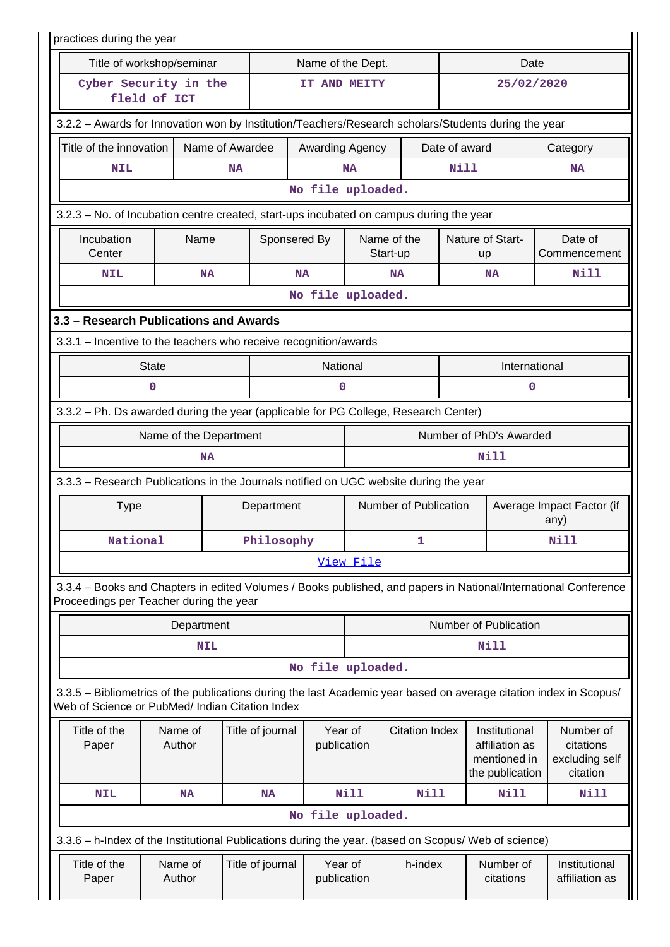|                                                                                                                                                                       | practices during the year |                  |              |                        |                       |                         |               |                                                                    |                                   |                                                      |  |
|-----------------------------------------------------------------------------------------------------------------------------------------------------------------------|---------------------------|------------------|--------------|------------------------|-----------------------|-------------------------|---------------|--------------------------------------------------------------------|-----------------------------------|------------------------------------------------------|--|
| Title of workshop/seminar                                                                                                                                             |                           |                  |              | Name of the Dept.      |                       |                         |               |                                                                    | Date                              |                                                      |  |
| Cyber Security in the<br>fleld of ICT                                                                                                                                 |                           |                  |              | IT AND MEITY           |                       |                         |               | 25/02/2020                                                         |                                   |                                                      |  |
| 3.2.2 - Awards for Innovation won by Institution/Teachers/Research scholars/Students during the year                                                                  |                           |                  |              |                        |                       |                         |               |                                                                    |                                   |                                                      |  |
| Title of the innovation                                                                                                                                               |                           | Name of Awardee  |              | Awarding Agency        |                       |                         | Date of award |                                                                    |                                   | Category                                             |  |
| <b>NIL</b>                                                                                                                                                            |                           | <b>NA</b>        |              |                        | <b>NA</b>             |                         | Nill          |                                                                    |                                   | <b>NA</b>                                            |  |
|                                                                                                                                                                       |                           |                  |              | No file uploaded.      |                       |                         |               |                                                                    |                                   |                                                      |  |
| 3.2.3 – No. of Incubation centre created, start-ups incubated on campus during the year                                                                               |                           |                  |              |                        |                       |                         |               |                                                                    |                                   |                                                      |  |
| Incubation<br>Center                                                                                                                                                  | Name                      |                  | Sponsered By |                        |                       | Name of the<br>Start-up |               | Nature of Start-<br>up                                             |                                   | Date of<br>Commencement                              |  |
| <b>NIL</b>                                                                                                                                                            | <b>NA</b>                 |                  | <b>NA</b>    |                        |                       | <b>NA</b>               |               | <b>NA</b>                                                          |                                   | Nill                                                 |  |
|                                                                                                                                                                       |                           |                  |              | No file uploaded.      |                       |                         |               |                                                                    |                                   |                                                      |  |
| 3.3 - Research Publications and Awards                                                                                                                                |                           |                  |              |                        |                       |                         |               |                                                                    |                                   |                                                      |  |
| 3.3.1 - Incentive to the teachers who receive recognition/awards                                                                                                      |                           |                  |              |                        |                       |                         |               |                                                                    |                                   |                                                      |  |
| <b>State</b>                                                                                                                                                          |                           |                  |              | National               |                       |                         |               | International                                                      |                                   |                                                      |  |
| 0                                                                                                                                                                     | 0<br>0                    |                  |              |                        |                       |                         |               |                                                                    |                                   |                                                      |  |
| 3.3.2 - Ph. Ds awarded during the year (applicable for PG College, Research Center)                                                                                   |                           |                  |              |                        |                       |                         |               |                                                                    |                                   |                                                      |  |
|                                                                                                                                                                       | Name of the Department    |                  |              |                        |                       |                         |               | Number of PhD's Awarded                                            |                                   |                                                      |  |
|                                                                                                                                                                       | Nill<br>NA                |                  |              |                        |                       |                         |               |                                                                    |                                   |                                                      |  |
| 3.3.3 - Research Publications in the Journals notified on UGC website during the year                                                                                 |                           |                  |              |                        |                       |                         |               |                                                                    |                                   |                                                      |  |
| <b>Type</b>                                                                                                                                                           |                           |                  | Department   |                        | Number of Publication |                         |               |                                                                    | Average Impact Factor (if<br>any) |                                                      |  |
| National                                                                                                                                                              |                           | Philosophy       |              |                        |                       | 1                       |               |                                                                    |                                   | <b>Nill</b>                                          |  |
|                                                                                                                                                                       |                           |                  |              |                        | View File             |                         |               |                                                                    |                                   |                                                      |  |
| 3.3.4 - Books and Chapters in edited Volumes / Books published, and papers in National/International Conference<br>Proceedings per Teacher during the year            |                           |                  |              |                        |                       |                         |               |                                                                    |                                   |                                                      |  |
|                                                                                                                                                                       | Department                |                  |              |                        |                       |                         |               | Number of Publication                                              |                                   |                                                      |  |
|                                                                                                                                                                       | <b>NIL</b>                |                  |              |                        |                       |                         |               | <b>Nill</b>                                                        |                                   |                                                      |  |
|                                                                                                                                                                       |                           |                  |              | No file uploaded.      |                       |                         |               |                                                                    |                                   |                                                      |  |
| 3.3.5 - Bibliometrics of the publications during the last Academic year based on average citation index in Scopus/<br>Web of Science or PubMed/ Indian Citation Index |                           |                  |              |                        |                       |                         |               |                                                                    |                                   |                                                      |  |
| Title of the<br>Paper                                                                                                                                                 | Name of<br>Author         | Title of journal |              | Year of<br>publication |                       | <b>Citation Index</b>   |               | Institutional<br>affiliation as<br>mentioned in<br>the publication |                                   | Number of<br>citations<br>excluding self<br>citation |  |
| <b>NIL</b>                                                                                                                                                            | <b>NA</b>                 | <b>NA</b>        |              |                        | <b>Nill</b>           | <b>Nill</b>             |               | Nill                                                               |                                   | <b>Nill</b>                                          |  |
|                                                                                                                                                                       |                           |                  |              | No file uploaded.      |                       |                         |               |                                                                    |                                   |                                                      |  |
| 3.3.6 - h-Index of the Institutional Publications during the year. (based on Scopus/ Web of science)                                                                  |                           |                  |              |                        |                       |                         |               |                                                                    |                                   |                                                      |  |
| Title of the<br>Paper                                                                                                                                                 | Name of<br>Author         | Title of journal |              | Year of<br>publication |                       | h-index                 |               | Number of<br>citations                                             |                                   | Institutional<br>affiliation as                      |  |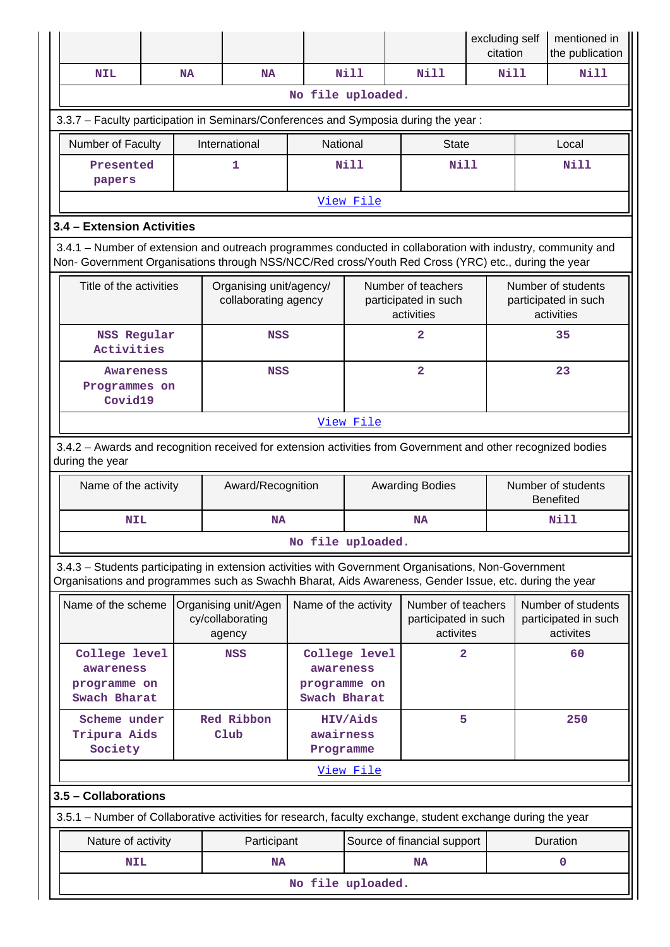|                                                                                                                                                                                                                    |  |           |                                                    |                                           |               |                                                          | excluding self<br>citation |  | mentioned in<br>the publication                          |
|--------------------------------------------------------------------------------------------------------------------------------------------------------------------------------------------------------------------|--|-----------|----------------------------------------------------|-------------------------------------------|---------------|----------------------------------------------------------|----------------------------|--|----------------------------------------------------------|
| <b>NIL</b>                                                                                                                                                                                                         |  | <b>NA</b> | <b>NA</b>                                          |                                           | <b>Nill</b>   | Nill                                                     | Nill                       |  | Nill                                                     |
|                                                                                                                                                                                                                    |  |           |                                                    | No file uploaded.                         |               |                                                          |                            |  |                                                          |
| 3.3.7 - Faculty participation in Seminars/Conferences and Symposia during the year:                                                                                                                                |  |           |                                                    |                                           |               |                                                          |                            |  |                                                          |
| Number of Faculty                                                                                                                                                                                                  |  |           | International                                      | National                                  |               | <b>State</b>                                             |                            |  | Local                                                    |
| Presented                                                                                                                                                                                                          |  |           | 1                                                  |                                           | <b>Nill</b>   | <b>Nill</b>                                              |                            |  | Nill                                                     |
| papers                                                                                                                                                                                                             |  |           |                                                    |                                           |               |                                                          |                            |  |                                                          |
|                                                                                                                                                                                                                    |  |           |                                                    |                                           | View File     |                                                          |                            |  |                                                          |
| 3.4 - Extension Activities                                                                                                                                                                                         |  |           |                                                    |                                           |               |                                                          |                            |  |                                                          |
| 3.4.1 – Number of extension and outreach programmes conducted in collaboration with industry, community and<br>Non- Government Organisations through NSS/NCC/Red cross/Youth Red Cross (YRC) etc., during the year |  |           |                                                    |                                           |               |                                                          |                            |  |                                                          |
| Title of the activities                                                                                                                                                                                            |  |           | Organising unit/agency/<br>collaborating agency    |                                           |               | Number of teachers<br>participated in such<br>activities |                            |  | Number of students<br>participated in such<br>activities |
| <b>NSS Regular</b><br>Activities                                                                                                                                                                                   |  |           | <b>NSS</b>                                         |                                           |               | $\mathbf{2}$                                             |                            |  | 35                                                       |
| $\overline{\mathbf{2}}$<br><b>NSS</b><br>Awareness<br>Programmes on<br>Covid19                                                                                                                                     |  |           |                                                    | 23                                        |               |                                                          |                            |  |                                                          |
| View File                                                                                                                                                                                                          |  |           |                                                    |                                           |               |                                                          |                            |  |                                                          |
| 3.4.2 - Awards and recognition received for extension activities from Government and other recognized bodies<br>during the year                                                                                    |  |           |                                                    |                                           |               |                                                          |                            |  |                                                          |
| Name of the activity                                                                                                                                                                                               |  |           | Award/Recognition                                  | <b>Awarding Bodies</b>                    |               |                                                          |                            |  | Number of students<br><b>Benefited</b>                   |
| <b>NIL</b>                                                                                                                                                                                                         |  |           | <b>NA</b>                                          |                                           |               |                                                          | Nill                       |  |                                                          |
|                                                                                                                                                                                                                    |  |           |                                                    | No file uploaded.                         |               |                                                          |                            |  |                                                          |
| 3.4.3 - Students participating in extension activities with Government Organisations, Non-Government<br>Organisations and programmes such as Swachh Bharat, Aids Awareness, Gender Issue, etc. during the year     |  |           |                                                    |                                           |               |                                                          |                            |  |                                                          |
| Name of the scheme                                                                                                                                                                                                 |  |           | Organising unit/Agen<br>cy/collaborating<br>agency | Name of the activity                      |               | Number of teachers<br>participated in such<br>activites  |                            |  | Number of students<br>participated in such<br>activites  |
| College level<br>awareness<br>programme on<br>Swach Bharat                                                                                                                                                         |  |           | <b>NSS</b>                                         | awareness<br>programme on<br>Swach Bharat | College level | $\overline{2}$                                           |                            |  | 60                                                       |
| Scheme under<br>Tripura Aids<br>Society                                                                                                                                                                            |  |           | Red Ribbon<br>Club                                 | awairness<br>Programme                    | HIV/Aids      | 5                                                        |                            |  | 250                                                      |
|                                                                                                                                                                                                                    |  |           |                                                    |                                           | View File     |                                                          |                            |  |                                                          |
| 3.5 - Collaborations                                                                                                                                                                                               |  |           |                                                    |                                           |               |                                                          |                            |  |                                                          |
| 3.5.1 – Number of Collaborative activities for research, faculty exchange, student exchange during the year                                                                                                        |  |           |                                                    |                                           |               |                                                          |                            |  |                                                          |
| Nature of activity                                                                                                                                                                                                 |  |           | Participant                                        |                                           |               | Source of financial support                              |                            |  | Duration                                                 |
| <b>NIL</b>                                                                                                                                                                                                         |  |           | <b>NA</b>                                          |                                           |               | <b>NA</b>                                                |                            |  | $\mathbf 0$                                              |
| No file uploaded.                                                                                                                                                                                                  |  |           |                                                    |                                           |               |                                                          |                            |  |                                                          |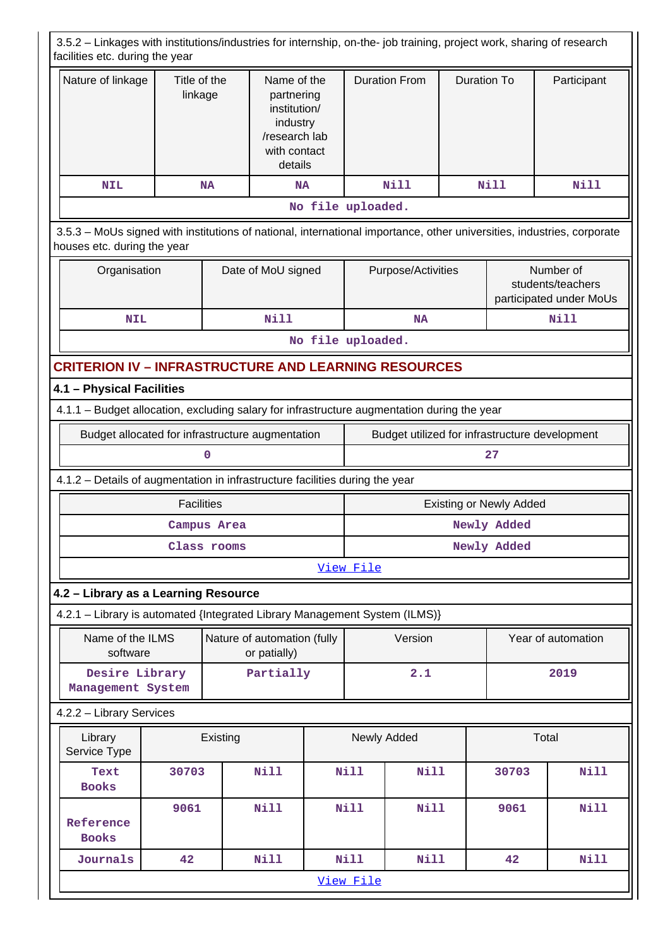| 3.5.2 - Linkages with institutions/industries for internship, on-the- job training, project work, sharing of research<br>facilities etc. during the year |                                                                                                                                                       |             |                                                                                                   |                    |             |                      |                    |                                                           |             |
|----------------------------------------------------------------------------------------------------------------------------------------------------------|-------------------------------------------------------------------------------------------------------------------------------------------------------|-------------|---------------------------------------------------------------------------------------------------|--------------------|-------------|----------------------|--------------------|-----------------------------------------------------------|-------------|
| Nature of linkage                                                                                                                                        | Title of the<br>linkage                                                                                                                               |             | Name of the<br>partnering<br>institution/<br>industry<br>/research lab<br>with contact<br>details |                    |             | <b>Duration From</b> | <b>Duration To</b> |                                                           | Participant |
| <b>NIL</b>                                                                                                                                               |                                                                                                                                                       | <b>NA</b>   | <b>NA</b>                                                                                         |                    |             | <b>Nill</b>          |                    | <b>Nill</b>                                               | Nill        |
|                                                                                                                                                          |                                                                                                                                                       |             |                                                                                                   | No file uploaded.  |             |                      |                    |                                                           |             |
|                                                                                                                                                          | 3.5.3 - MoUs signed with institutions of national, international importance, other universities, industries, corporate<br>houses etc. during the year |             |                                                                                                   |                    |             |                      |                    |                                                           |             |
|                                                                                                                                                          | Organisation                                                                                                                                          |             | Date of MoU signed                                                                                | Purpose/Activities |             |                      |                    | Number of<br>students/teachers<br>participated under MoUs |             |
| <b>NIL</b>                                                                                                                                               |                                                                                                                                                       |             | <b>Nill</b>                                                                                       |                    |             | NA                   |                    |                                                           | <b>Nill</b> |
|                                                                                                                                                          |                                                                                                                                                       |             |                                                                                                   | No file uploaded.  |             |                      |                    |                                                           |             |
| <b>CRITERION IV - INFRASTRUCTURE AND LEARNING RESOURCES</b>                                                                                              |                                                                                                                                                       |             |                                                                                                   |                    |             |                      |                    |                                                           |             |
|                                                                                                                                                          | 4.1 - Physical Facilities                                                                                                                             |             |                                                                                                   |                    |             |                      |                    |                                                           |             |
| 4.1.1 - Budget allocation, excluding salary for infrastructure augmentation during the year                                                              |                                                                                                                                                       |             |                                                                                                   |                    |             |                      |                    |                                                           |             |
| Budget utilized for infrastructure development<br>Budget allocated for infrastructure augmentation                                                       |                                                                                                                                                       |             |                                                                                                   |                    |             |                      |                    |                                                           |             |
|                                                                                                                                                          |                                                                                                                                                       | 0           |                                                                                                   |                    |             |                      |                    | 27                                                        |             |
| 4.1.2 - Details of augmentation in infrastructure facilities during the year                                                                             |                                                                                                                                                       |             |                                                                                                   |                    |             |                      |                    |                                                           |             |
|                                                                                                                                                          | <b>Facilities</b>                                                                                                                                     |             |                                                                                                   |                    |             |                      |                    | <b>Existing or Newly Added</b>                            |             |
|                                                                                                                                                          |                                                                                                                                                       | Campus Area |                                                                                                   |                    | Newly Added |                      |                    |                                                           |             |
|                                                                                                                                                          |                                                                                                                                                       | Class rooms |                                                                                                   |                    | Newly Added |                      |                    |                                                           |             |
|                                                                                                                                                          |                                                                                                                                                       |             |                                                                                                   |                    | View File   |                      |                    |                                                           |             |
| 4.2 - Library as a Learning Resource                                                                                                                     |                                                                                                                                                       |             |                                                                                                   |                    |             |                      |                    |                                                           |             |
| 4.2.1 - Library is automated {Integrated Library Management System (ILMS)}                                                                               |                                                                                                                                                       |             |                                                                                                   |                    |             |                      |                    |                                                           |             |
| Name of the ILMS<br>software                                                                                                                             |                                                                                                                                                       |             | Nature of automation (fully<br>or patially)                                                       |                    |             | Version              |                    | Year of automation                                        |             |
| Desire Library<br>Management System                                                                                                                      |                                                                                                                                                       |             | Partially                                                                                         |                    |             | 2.1                  |                    |                                                           | 2019        |
| 4.2.2 - Library Services                                                                                                                                 |                                                                                                                                                       |             |                                                                                                   |                    |             |                      |                    |                                                           |             |
| Library<br>Service Type                                                                                                                                  |                                                                                                                                                       | Existing    |                                                                                                   |                    |             | Newly Added          |                    |                                                           | Total       |
| Text<br><b>Books</b>                                                                                                                                     | 30703                                                                                                                                                 |             | <b>Nill</b>                                                                                       |                    | <b>Nill</b> | <b>Nill</b>          |                    | 30703                                                     | <b>Nill</b> |
| Reference<br><b>Books</b>                                                                                                                                | 9061                                                                                                                                                  |             | <b>Nill</b>                                                                                       |                    | <b>Nill</b> | <b>Nill</b>          |                    | 9061                                                      | <b>Nill</b> |
| Journals                                                                                                                                                 | 42                                                                                                                                                    |             | <b>Nill</b>                                                                                       |                    | <b>Nill</b> | <b>Nill</b>          |                    | 42                                                        | Nill        |
|                                                                                                                                                          | View File                                                                                                                                             |             |                                                                                                   |                    |             |                      |                    |                                                           |             |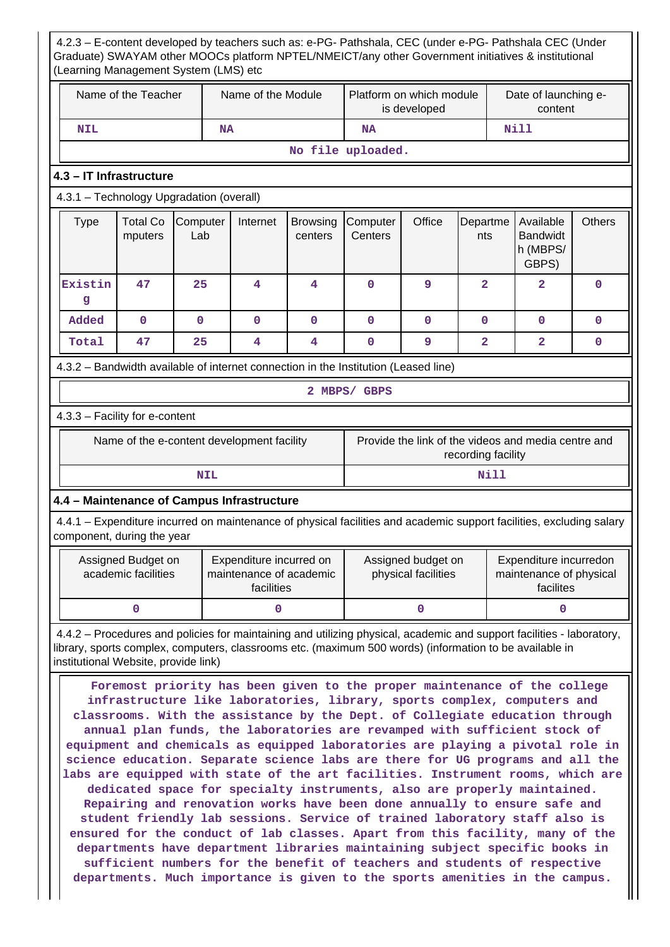4.2.3 – E-content developed by teachers such as: e-PG- Pathshala, CEC (under e-PG- Pathshala CEC (Under Graduate) SWAYAM other MOOCs platform NPTEL/NMEICT/any other Government initiatives & institutional (Learning Management System (LMS) etc Name of the Teacher  $\parallel$  Name of the Module Platform on which module is developed Date of launching econtent  **NIL NA NA Nill No file uploaded. 4.3 – IT Infrastructure** 4.3.1 – Technology Upgradation (overall)  $Type \mid Total Co$ mputers **Computer** Lab Internet Browsing centers **Computer Centers** Office Departme nts Available Bandwidt h (MBPS/ GBPS) **Others Existin g 47 25 4 4 0 9 2 2 0 Added 0 0 0 0 0 0 0 0 0 Total 47 25 4 4 0 9 2 2 0** 4.3.2 – Bandwidth available of internet connection in the Institution (Leased line) **2 MBPS/ GBPS** 4.3.3 – Facility for e-content Name of the e-content development facility Frovide the link of the videos and media centre and recording facility **NIL** Nill **4.4 – Maintenance of Campus Infrastructure** 4.4.1 – Expenditure incurred on maintenance of physical facilities and academic support facilities, excluding salary component, during the year Assigned Budget on academic facilities Expenditure incurred on maintenance of academic facilities Assigned budget on physical facilities Expenditure incurredon maintenance of physical facilites **0** 0 0 0 0 0 0 4.4.2 – Procedures and policies for maintaining and utilizing physical, academic and support facilities - laboratory, library, sports complex, computers, classrooms etc. (maximum 500 words) (information to be available in institutional Website, provide link) **Foremost priority has been given to the proper maintenance of the college infrastructure like laboratories, library, sports complex, computers and classrooms. With the assistance by the Dept. of Collegiate education through annual plan funds, the laboratories are revamped with sufficient stock of equipment and chemicals as equipped laboratories are playing a pivotal role in science education. Separate science labs are there for UG programs and all the labs are equipped with state of the art facilities. Instrument rooms, which are dedicated space for specialty instruments, also are properly maintained. Repairing and renovation works have been done annually to ensure safe and student friendly lab sessions. Service of trained laboratory staff also is ensured for the conduct of lab classes. Apart from this facility, many of the departments have department libraries maintaining subject specific books in sufficient numbers for the benefit of teachers and students of respective departments. Much importance is given to the sports amenities in the campus.**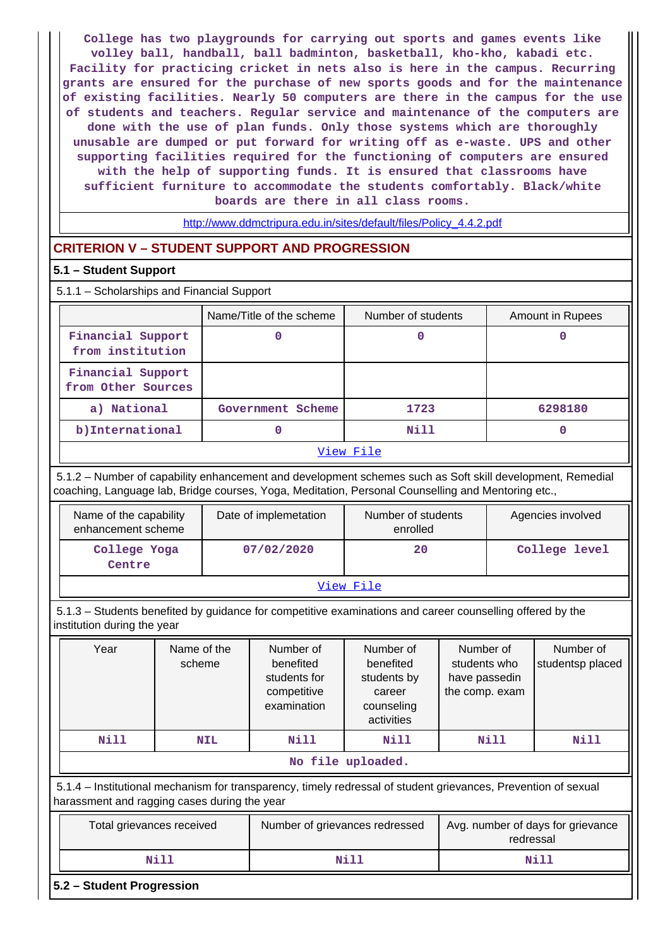**College has two playgrounds for carrying out sports and games events like volley ball, handball, ball badminton, basketball, kho-kho, kabadi etc. Facility for practicing cricket in nets also is here in the campus. Recurring grants are ensured for the purchase of new sports goods and for the maintenance of existing facilities. Nearly 50 computers are there in the campus for the use of students and teachers. Regular service and maintenance of the computers are done with the use of plan funds. Only those systems which are thoroughly unusable are dumped or put forward for writing off as e-waste. UPS and other supporting facilities required for the functioning of computers are ensured with the help of supporting funds. It is ensured that classrooms have sufficient furniture to accommodate the students comfortably. Black/white boards are there in all class rooms.**

[http://www.ddmctripura.edu.in/sites/default/files/Policy\\_4.4.2.pdf](http://www.ddmctripura.edu.in/sites/default/files/Policy_4.4.2.pdf)

### **CRITERION V – STUDENT SUPPORT AND PROGRESSION**

#### **5.1 – Student Support**

| 5.1.1 - Scholarships and Financial Support |  |  |  |  |  |
|--------------------------------------------|--|--|--|--|--|
|--------------------------------------------|--|--|--|--|--|

|                                         | Name/Title of the scheme | Number of students | Amount in Rupees |  |  |  |  |  |
|-----------------------------------------|--------------------------|--------------------|------------------|--|--|--|--|--|
| Financial Support<br>from institution   |                          |                    |                  |  |  |  |  |  |
| Financial Support<br>from Other Sources |                          |                    |                  |  |  |  |  |  |
| a) National                             | Government Scheme        | 1723               | 6298180          |  |  |  |  |  |
| b) International                        |                          | Nill               |                  |  |  |  |  |  |
| View File                               |                          |                    |                  |  |  |  |  |  |

 5.1.2 – Number of capability enhancement and development schemes such as Soft skill development, Remedial coaching, Language lab, Bridge courses, Yoga, Meditation, Personal Counselling and Mentoring etc.,

| Name of the capability<br>enhancement scheme | Date of implemetation | Number of students<br>enrolled | Agencies involved |  |  |  |  |
|----------------------------------------------|-----------------------|--------------------------------|-------------------|--|--|--|--|
| College Yoga<br>Centre                       | 07/02/2020            |                                | College level     |  |  |  |  |
| View File                                    |                       |                                |                   |  |  |  |  |

 5.1.3 – Students benefited by guidance for competitive examinations and career counselling offered by the institution during the year

| Year                                                                                                                                                           | Number of<br>Name of the<br>benefited<br>scheme<br>students for<br>competitive<br>examination |      | Number of<br>benefited<br>students by<br>career<br>counseling<br>activities | Number of<br>students who<br>have passedin<br>the comp. exam | Number of<br>studentsp placed |  |  |  |  |
|----------------------------------------------------------------------------------------------------------------------------------------------------------------|-----------------------------------------------------------------------------------------------|------|-----------------------------------------------------------------------------|--------------------------------------------------------------|-------------------------------|--|--|--|--|
| N <sub>i</sub> 11                                                                                                                                              | <b>NIL</b>                                                                                    | Nill | Nill                                                                        |                                                              | Nill                          |  |  |  |  |
| No file uploaded.                                                                                                                                              |                                                                                               |      |                                                                             |                                                              |                               |  |  |  |  |
| 5.1.4 - Institutional mechanism for transparency, timely redressal of student grievances, Prevention of sexual<br>harassment and ragging cases during the year |                                                                                               |      |                                                                             |                                                              |                               |  |  |  |  |

| Total grievances received | Number of grievances redressed | Avg. number of days for grievance<br>redressal |
|---------------------------|--------------------------------|------------------------------------------------|
| Nill                      | Nill                           | Nill                                           |

#### **5.2 – Student Progression**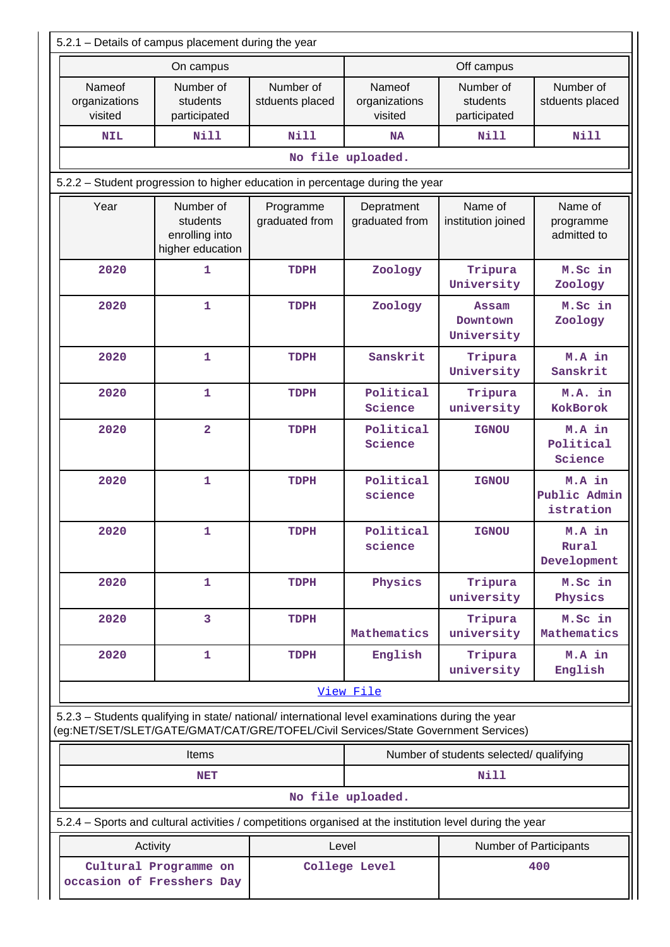| 5.2.1 - Details of campus placement during the year                        |                                                                                                                                                                                        |                              |                                    |                                        |                                     |  |  |  |  |
|----------------------------------------------------------------------------|----------------------------------------------------------------------------------------------------------------------------------------------------------------------------------------|------------------------------|------------------------------------|----------------------------------------|-------------------------------------|--|--|--|--|
|                                                                            | On campus                                                                                                                                                                              |                              |                                    | Off campus                             |                                     |  |  |  |  |
| Nameof<br>organizations<br>visited                                         | Number of<br>students<br>participated                                                                                                                                                  | Number of<br>stduents placed | Nameof<br>organizations<br>visited | Number of<br>students<br>participated  | Number of<br>stduents placed        |  |  |  |  |
| <b>NIL</b>                                                                 | <b>Nill</b>                                                                                                                                                                            | Nill                         | <b>NA</b>                          | <b>Nill</b>                            | <b>Nill</b>                         |  |  |  |  |
|                                                                            |                                                                                                                                                                                        |                              | No file uploaded.                  |                                        |                                     |  |  |  |  |
|                                                                            | 5.2.2 - Student progression to higher education in percentage during the year                                                                                                          |                              |                                    |                                        |                                     |  |  |  |  |
| Year                                                                       | Number of<br>students<br>enrolling into<br>higher education                                                                                                                            | Programme<br>graduated from  | Depratment<br>graduated from       | Name of<br>institution joined          | Name of<br>programme<br>admitted to |  |  |  |  |
| 2020                                                                       | 1                                                                                                                                                                                      | TDPH                         | Zoology                            | Tripura<br>University                  | M.Sc in<br>Zoology                  |  |  |  |  |
| 2020                                                                       | $\mathbf 1$                                                                                                                                                                            | TDPH                         | Zoology                            | <b>Assam</b><br>Downtown<br>University | M.Sc in<br>Zoology                  |  |  |  |  |
| 2020                                                                       | $\mathbf{1}$                                                                                                                                                                           | TDPH                         | Sanskrit                           | Tripura<br>University                  | M.A in<br>Sanskrit                  |  |  |  |  |
| 2020                                                                       | $\mathbf 1$                                                                                                                                                                            | TDPH                         | Political<br>Science               | Tripura<br>university                  | M.A. in<br>KokBorok                 |  |  |  |  |
| 2020                                                                       | $\overline{\mathbf{2}}$                                                                                                                                                                | <b>TDPH</b>                  | Political<br>Science               | <b>IGNOU</b>                           | M.A in<br>Political<br>Science      |  |  |  |  |
| 2020                                                                       | $\mathbf 1$                                                                                                                                                                            | TDPH                         | Political<br>science               | <b>IGNOU</b>                           | M.A in<br>Public Admin<br>istration |  |  |  |  |
| 2020                                                                       | 1                                                                                                                                                                                      | TDPH                         | Political<br>science               | <b>IGNOU</b>                           | M.A in<br>Rural<br>Development      |  |  |  |  |
| 2020                                                                       | $\mathbf 1$                                                                                                                                                                            | TDPH                         | Physics                            | Tripura<br>university                  | M.Sc in<br>Physics                  |  |  |  |  |
| 2020                                                                       | 3                                                                                                                                                                                      | TDPH                         | Mathematics                        | Tripura<br>university                  | M.Sc in<br>Mathematics              |  |  |  |  |
| 2020                                                                       | 1                                                                                                                                                                                      | <b>TDPH</b>                  | English                            | Tripura<br>university                  | M.A in<br>English                   |  |  |  |  |
|                                                                            |                                                                                                                                                                                        |                              | View File                          |                                        |                                     |  |  |  |  |
|                                                                            | 5.2.3 - Students qualifying in state/ national/ international level examinations during the year<br>(eg:NET/SET/SLET/GATE/GMAT/CAT/GRE/TOFEL/Civil Services/State Government Services) |                              |                                    |                                        |                                     |  |  |  |  |
|                                                                            | Number of students selected/ qualifying<br><b>Items</b>                                                                                                                                |                              |                                    |                                        |                                     |  |  |  |  |
|                                                                            | Nill<br><b>NET</b>                                                                                                                                                                     |                              |                                    |                                        |                                     |  |  |  |  |
|                                                                            |                                                                                                                                                                                        |                              | No file uploaded.                  |                                        |                                     |  |  |  |  |
|                                                                            | 5.2.4 - Sports and cultural activities / competitions organised at the institution level during the year                                                                               |                              |                                    |                                        |                                     |  |  |  |  |
|                                                                            | Activity                                                                                                                                                                               | Level                        |                                    |                                        | <b>Number of Participants</b>       |  |  |  |  |
| Cultural Programme on<br>College Level<br>400<br>occasion of Fresshers Day |                                                                                                                                                                                        |                              |                                    |                                        |                                     |  |  |  |  |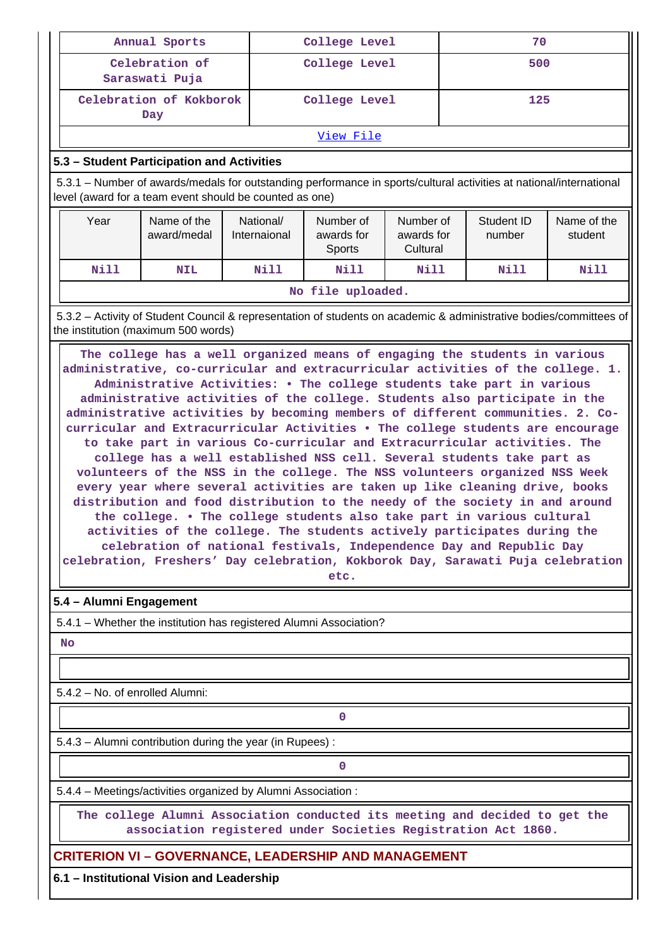| Annual Sports<br>College Level<br>70                                                                                                                                                                                                                                                                                                                                                                                                                                                                                                                                                                                                                                                                                                                                                                                                                                                                                                                                                                                                                                                                                                      |                                                                                                                                                                                |                           |                                                                                                  |             |  |             |                        |  |  |
|-------------------------------------------------------------------------------------------------------------------------------------------------------------------------------------------------------------------------------------------------------------------------------------------------------------------------------------------------------------------------------------------------------------------------------------------------------------------------------------------------------------------------------------------------------------------------------------------------------------------------------------------------------------------------------------------------------------------------------------------------------------------------------------------------------------------------------------------------------------------------------------------------------------------------------------------------------------------------------------------------------------------------------------------------------------------------------------------------------------------------------------------|--------------------------------------------------------------------------------------------------------------------------------------------------------------------------------|---------------------------|--------------------------------------------------------------------------------------------------|-------------|--|-------------|------------------------|--|--|
|                                                                                                                                                                                                                                                                                                                                                                                                                                                                                                                                                                                                                                                                                                                                                                                                                                                                                                                                                                                                                                                                                                                                           | Celebration of<br>Saraswati Puja                                                                                                                                               |                           | College Level                                                                                    |             |  | 500         |                        |  |  |
|                                                                                                                                                                                                                                                                                                                                                                                                                                                                                                                                                                                                                                                                                                                                                                                                                                                                                                                                                                                                                                                                                                                                           | Celebration of Kokborok<br>Day                                                                                                                                                 |                           | College Level                                                                                    |             |  | 125         |                        |  |  |
|                                                                                                                                                                                                                                                                                                                                                                                                                                                                                                                                                                                                                                                                                                                                                                                                                                                                                                                                                                                                                                                                                                                                           |                                                                                                                                                                                |                           | View File                                                                                        |             |  |             |                        |  |  |
|                                                                                                                                                                                                                                                                                                                                                                                                                                                                                                                                                                                                                                                                                                                                                                                                                                                                                                                                                                                                                                                                                                                                           | 5.3 - Student Participation and Activities                                                                                                                                     |                           |                                                                                                  |             |  |             |                        |  |  |
|                                                                                                                                                                                                                                                                                                                                                                                                                                                                                                                                                                                                                                                                                                                                                                                                                                                                                                                                                                                                                                                                                                                                           | 5.3.1 – Number of awards/medals for outstanding performance in sports/cultural activities at national/international<br>level (award for a team event should be counted as one) |                           |                                                                                                  |             |  |             |                        |  |  |
| Year                                                                                                                                                                                                                                                                                                                                                                                                                                                                                                                                                                                                                                                                                                                                                                                                                                                                                                                                                                                                                                                                                                                                      | Name of the<br>award/medal                                                                                                                                                     | National/<br>Internaional | Number of<br>Number of<br>Student ID<br>awards for<br>awards for<br>number<br>Cultural<br>Sports |             |  |             | Name of the<br>student |  |  |
| <b>Nill</b>                                                                                                                                                                                                                                                                                                                                                                                                                                                                                                                                                                                                                                                                                                                                                                                                                                                                                                                                                                                                                                                                                                                               | <b>NIL</b>                                                                                                                                                                     | <b>Nill</b>               | <b>Nill</b>                                                                                      | <b>Nill</b> |  | <b>Nill</b> | Nill                   |  |  |
|                                                                                                                                                                                                                                                                                                                                                                                                                                                                                                                                                                                                                                                                                                                                                                                                                                                                                                                                                                                                                                                                                                                                           |                                                                                                                                                                                |                           | No file uploaded.                                                                                |             |  |             |                        |  |  |
|                                                                                                                                                                                                                                                                                                                                                                                                                                                                                                                                                                                                                                                                                                                                                                                                                                                                                                                                                                                                                                                                                                                                           | 5.3.2 - Activity of Student Council & representation of students on academic & administrative bodies/committees of<br>the institution (maximum 500 words)                      |                           |                                                                                                  |             |  |             |                        |  |  |
| administrative, co-curricular and extracurricular activities of the college. 1.<br>Administrative Activities: . The college students take part in various<br>administrative activities of the college. Students also participate in the<br>administrative activities by becoming members of different communities. 2. Co-<br>curricular and Extracurricular Activities . The college students are encourage<br>to take part in various Co-curricular and Extracurricular activities. The<br>college has a well established NSS cell. Several students take part as<br>volunteers of the NSS in the college. The NSS volunteers organized NSS Week<br>every year where several activities are taken up like cleaning drive, books<br>distribution and food distribution to the needy of the society in and around<br>the college. . The college students also take part in various cultural<br>activities of the college. The students actively participates during the<br>celebration of national festivals, Independence Day and Republic Day<br>celebration, Freshers' Day celebration, Kokborok Day, Sarawati Puja celebration<br>etc. |                                                                                                                                                                                |                           |                                                                                                  |             |  |             |                        |  |  |
| 5.4 - Alumni Engagement                                                                                                                                                                                                                                                                                                                                                                                                                                                                                                                                                                                                                                                                                                                                                                                                                                                                                                                                                                                                                                                                                                                   |                                                                                                                                                                                |                           |                                                                                                  |             |  |             |                        |  |  |
|                                                                                                                                                                                                                                                                                                                                                                                                                                                                                                                                                                                                                                                                                                                                                                                                                                                                                                                                                                                                                                                                                                                                           | 5.4.1 - Whether the institution has registered Alumni Association?                                                                                                             |                           |                                                                                                  |             |  |             |                        |  |  |
| No                                                                                                                                                                                                                                                                                                                                                                                                                                                                                                                                                                                                                                                                                                                                                                                                                                                                                                                                                                                                                                                                                                                                        |                                                                                                                                                                                |                           |                                                                                                  |             |  |             |                        |  |  |
|                                                                                                                                                                                                                                                                                                                                                                                                                                                                                                                                                                                                                                                                                                                                                                                                                                                                                                                                                                                                                                                                                                                                           |                                                                                                                                                                                |                           |                                                                                                  |             |  |             |                        |  |  |
| 5.4.2 - No. of enrolled Alumni:                                                                                                                                                                                                                                                                                                                                                                                                                                                                                                                                                                                                                                                                                                                                                                                                                                                                                                                                                                                                                                                                                                           |                                                                                                                                                                                |                           |                                                                                                  |             |  |             |                        |  |  |
|                                                                                                                                                                                                                                                                                                                                                                                                                                                                                                                                                                                                                                                                                                                                                                                                                                                                                                                                                                                                                                                                                                                                           |                                                                                                                                                                                |                           | 0                                                                                                |             |  |             |                        |  |  |
|                                                                                                                                                                                                                                                                                                                                                                                                                                                                                                                                                                                                                                                                                                                                                                                                                                                                                                                                                                                                                                                                                                                                           | 5.4.3 - Alumni contribution during the year (in Rupees):                                                                                                                       |                           |                                                                                                  |             |  |             |                        |  |  |
| 0                                                                                                                                                                                                                                                                                                                                                                                                                                                                                                                                                                                                                                                                                                                                                                                                                                                                                                                                                                                                                                                                                                                                         |                                                                                                                                                                                |                           |                                                                                                  |             |  |             |                        |  |  |
|                                                                                                                                                                                                                                                                                                                                                                                                                                                                                                                                                                                                                                                                                                                                                                                                                                                                                                                                                                                                                                                                                                                                           | 5.4.4 - Meetings/activities organized by Alumni Association:                                                                                                                   |                           |                                                                                                  |             |  |             |                        |  |  |
| The college Alumni Association conducted its meeting and decided to get the<br>association registered under Societies Registration Act 1860.                                                                                                                                                                                                                                                                                                                                                                                                                                                                                                                                                                                                                                                                                                                                                                                                                                                                                                                                                                                              |                                                                                                                                                                                |                           |                                                                                                  |             |  |             |                        |  |  |
|                                                                                                                                                                                                                                                                                                                                                                                                                                                                                                                                                                                                                                                                                                                                                                                                                                                                                                                                                                                                                                                                                                                                           | <b>CRITERION VI – GOVERNANCE, LEADERSHIP AND MANAGEMENT</b>                                                                                                                    |                           |                                                                                                  |             |  |             |                        |  |  |
|                                                                                                                                                                                                                                                                                                                                                                                                                                                                                                                                                                                                                                                                                                                                                                                                                                                                                                                                                                                                                                                                                                                                           | 6.1 - Institutional Vision and Leadership                                                                                                                                      |                           |                                                                                                  |             |  |             |                        |  |  |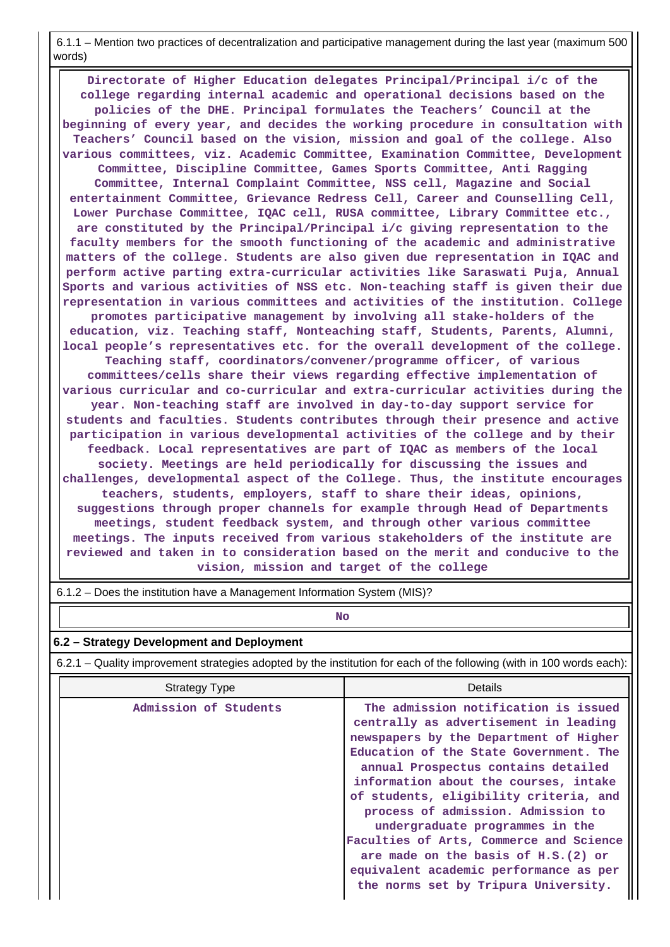6.1.1 – Mention two practices of decentralization and participative management during the last year (maximum 500 words)

 **Directorate of Higher Education delegates Principal/Principal i/c of the college regarding internal academic and operational decisions based on the policies of the DHE. Principal formulates the Teachers' Council at the beginning of every year, and decides the working procedure in consultation with Teachers' Council based on the vision, mission and goal of the college. Also various committees, viz. Academic Committee, Examination Committee, Development Committee, Discipline Committee, Games Sports Committee, Anti Ragging Committee, Internal Complaint Committee, NSS cell, Magazine and Social entertainment Committee, Grievance Redress Cell, Career and Counselling Cell, Lower Purchase Committee, IQAC cell, RUSA committee, Library Committee etc., are constituted by the Principal/Principal i/c giving representation to the faculty members for the smooth functioning of the academic and administrative matters of the college. Students are also given due representation in IQAC and perform active parting extra-curricular activities like Saraswati Puja, Annual Sports and various activities of NSS etc. Non-teaching staff is given their due representation in various committees and activities of the institution. College promotes participative management by involving all stake-holders of the education, viz. Teaching staff, Nonteaching staff, Students, Parents, Alumni, local people's representatives etc. for the overall development of the college. Teaching staff, coordinators/convener/programme officer, of various committees/cells share their views regarding effective implementation of various curricular and co-curricular and extra-curricular activities during the year. Non-teaching staff are involved in day-to-day support service for students and faculties. Students contributes through their presence and active participation in various developmental activities of the college and by their feedback. Local representatives are part of IQAC as members of the local society. Meetings are held periodically for discussing the issues and challenges, developmental aspect of the College. Thus, the institute encourages teachers, students, employers, staff to share their ideas, opinions, suggestions through proper channels for example through Head of Departments meetings, student feedback system, and through other various committee meetings. The inputs received from various stakeholders of the institute are reviewed and taken in to consideration based on the merit and conducive to the vision, mission and target of the college**

| 6.1.2 – Does the institution have a Management Information System (MIS)? |  |  |  |
|--------------------------------------------------------------------------|--|--|--|
|                                                                          |  |  |  |

### **No. 2. In the case of the case of the case of the case of the case of the case of the case of the case of the case of the case of the case of the case of the case of the case of the case of the case of the case of the cas**

#### **6.2 – Strategy Development and Deployment**

6.2.1 – Quality improvement strategies adopted by the institution for each of the following (with in 100 words each):

| <b>Strategy Type</b>  | Details                                                                                                                                                                                                                                                                                                                                                                                                                                                                                                                                   |
|-----------------------|-------------------------------------------------------------------------------------------------------------------------------------------------------------------------------------------------------------------------------------------------------------------------------------------------------------------------------------------------------------------------------------------------------------------------------------------------------------------------------------------------------------------------------------------|
| Admission of Students | The admission notification is issued<br>centrally as advertisement in leading<br>newspapers by the Department of Higher<br>Education of the State Government. The<br>annual Prospectus contains detailed<br>information about the courses, intake<br>of students, eligibility criteria, and<br>process of admission. Admission to<br>undergraduate programmes in the<br>Faculties of Arts, Commerce and Science<br>are made on the basis of H.S. (2) or<br>equivalent academic performance as per<br>the norms set by Tripura University. |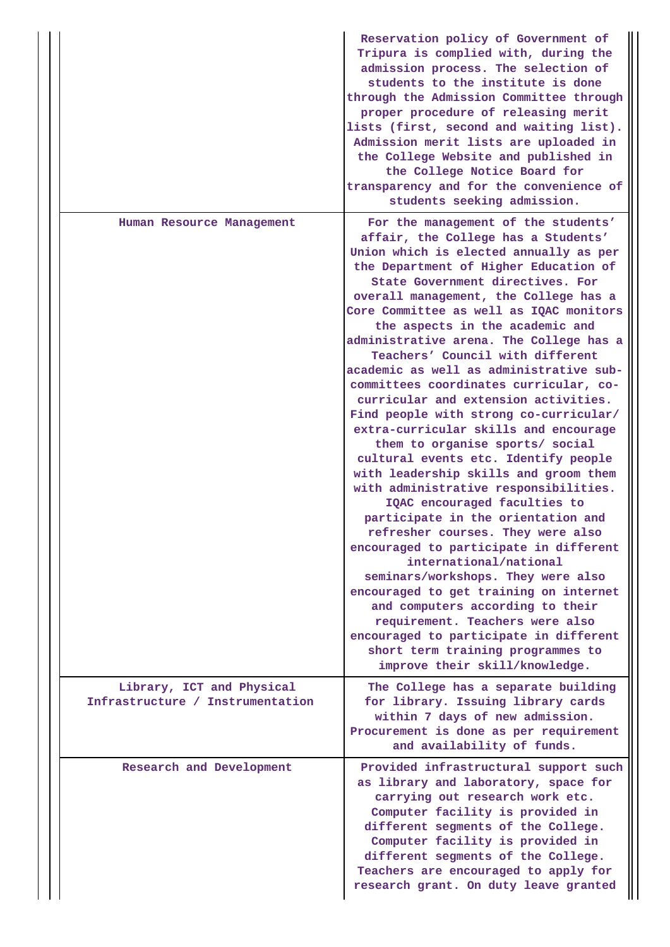|                                                               | Reservation policy of Government of<br>Tripura is complied with, during the<br>admission process. The selection of<br>students to the institute is done<br>through the Admission Committee through<br>proper procedure of releasing merit<br>lists (first, second and waiting list).<br>Admission merit lists are uploaded in<br>the College Website and published in<br>the College Notice Board for<br>transparency and for the convenience of<br>students seeking admission.                                                                                                                                                                                                                                                                                                                                                                                                                                                                                                                                                                                                                                                                                                                                                             |
|---------------------------------------------------------------|---------------------------------------------------------------------------------------------------------------------------------------------------------------------------------------------------------------------------------------------------------------------------------------------------------------------------------------------------------------------------------------------------------------------------------------------------------------------------------------------------------------------------------------------------------------------------------------------------------------------------------------------------------------------------------------------------------------------------------------------------------------------------------------------------------------------------------------------------------------------------------------------------------------------------------------------------------------------------------------------------------------------------------------------------------------------------------------------------------------------------------------------------------------------------------------------------------------------------------------------|
| Human Resource Management                                     | For the management of the students'<br>affair, the College has a Students'<br>Union which is elected annually as per<br>the Department of Higher Education of<br>State Government directives. For<br>overall management, the College has a<br>Core Committee as well as IQAC monitors<br>the aspects in the academic and<br>administrative arena. The College has a<br>Teachers' Council with different<br>academic as well as administrative sub-<br>committees coordinates curricular, co-<br>curricular and extension activities.<br>Find people with strong co-curricular/<br>extra-curricular skills and encourage<br>them to organise sports/ social<br>cultural events etc. Identify people<br>with leadership skills and groom them<br>with administrative responsibilities.<br>IQAC encouraged faculties to<br>participate in the orientation and<br>refresher courses. They were also<br>encouraged to participate in different<br>international/national<br>seminars/workshops. They were also<br>encouraged to get training on internet<br>and computers according to their<br>requirement. Teachers were also<br>encouraged to participate in different<br>short term training programmes to<br>improve their skill/knowledge. |
| Library, ICT and Physical<br>Infrastructure / Instrumentation | The College has a separate building<br>for library. Issuing library cards<br>within 7 days of new admission.<br>Procurement is done as per requirement<br>and availability of funds.                                                                                                                                                                                                                                                                                                                                                                                                                                                                                                                                                                                                                                                                                                                                                                                                                                                                                                                                                                                                                                                        |
| Research and Development                                      | Provided infrastructural support such<br>as library and laboratory, space for<br>carrying out research work etc.<br>Computer facility is provided in<br>different segments of the College.<br>Computer facility is provided in<br>different segments of the College.<br>Teachers are encouraged to apply for<br>research grant. On duty leave granted                                                                                                                                                                                                                                                                                                                                                                                                                                                                                                                                                                                                                                                                                                                                                                                                                                                                                       |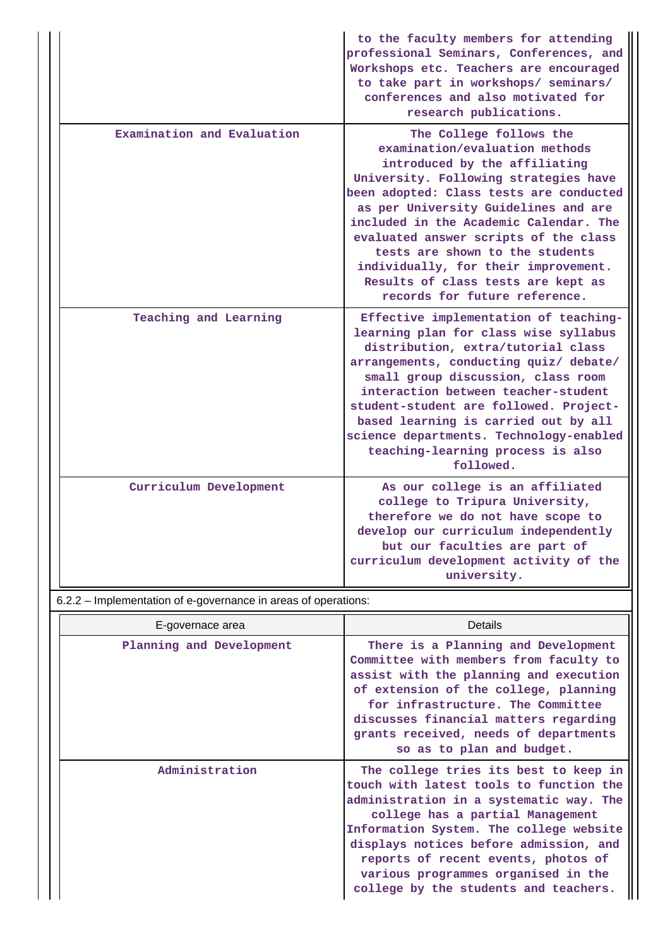|                            | to the faculty members for attending<br>professional Seminars, Conferences, and<br>Workshops etc. Teachers are encouraged<br>to take part in workshops/ seminars/<br>conferences and also motivated for<br>research publications.                                                                                                                                                                                                                           |
|----------------------------|-------------------------------------------------------------------------------------------------------------------------------------------------------------------------------------------------------------------------------------------------------------------------------------------------------------------------------------------------------------------------------------------------------------------------------------------------------------|
| Examination and Evaluation | The College follows the<br>examination/evaluation methods<br>introduced by the affiliating<br>University. Following strategies have<br>been adopted: Class tests are conducted<br>as per University Guidelines and are<br>included in the Academic Calendar. The<br>evaluated answer scripts of the class<br>tests are shown to the students<br>individually, for their improvement.<br>Results of class tests are kept as<br>records for future reference. |
| Teaching and Learning      | Effective implementation of teaching-<br>learning plan for class wise syllabus<br>distribution, extra/tutorial class<br>arrangements, conducting quiz/ debate/<br>small group discussion, class room<br>interaction between teacher-student<br>student-student are followed. Project-<br>based learning is carried out by all<br>science departments. Technology-enabled<br>teaching-learning process is also<br>followed.                                  |
| Curriculum Development     | As our college is an affiliated<br>college to Tripura University,<br>therefore we do not have scope to<br>develop our curriculum independently<br>but our faculties are part of<br>curriculum development activity of the<br>university.                                                                                                                                                                                                                    |

6.2.2 – Implementation of e-governance in areas of operations:

| E-governace area         | Details                                                                                                                                                                                                                                                                                                                                                                     |
|--------------------------|-----------------------------------------------------------------------------------------------------------------------------------------------------------------------------------------------------------------------------------------------------------------------------------------------------------------------------------------------------------------------------|
| Planning and Development | There is a Planning and Development<br>Committee with members from faculty to<br>assist with the planning and execution<br>of extension of the college, planning<br>for infrastructure. The Committee<br>discusses financial matters regarding<br>grants received, needs of departments<br>so as to plan and budget.                                                        |
| Administration           | The college tries its best to keep in<br>touch with latest tools to function the<br>administration in a systematic way. The<br>college has a partial Management<br>Information System. The college website<br>displays notices before admission, and<br>reports of recent events, photos of<br>various programmes organised in the<br>college by the students and teachers. |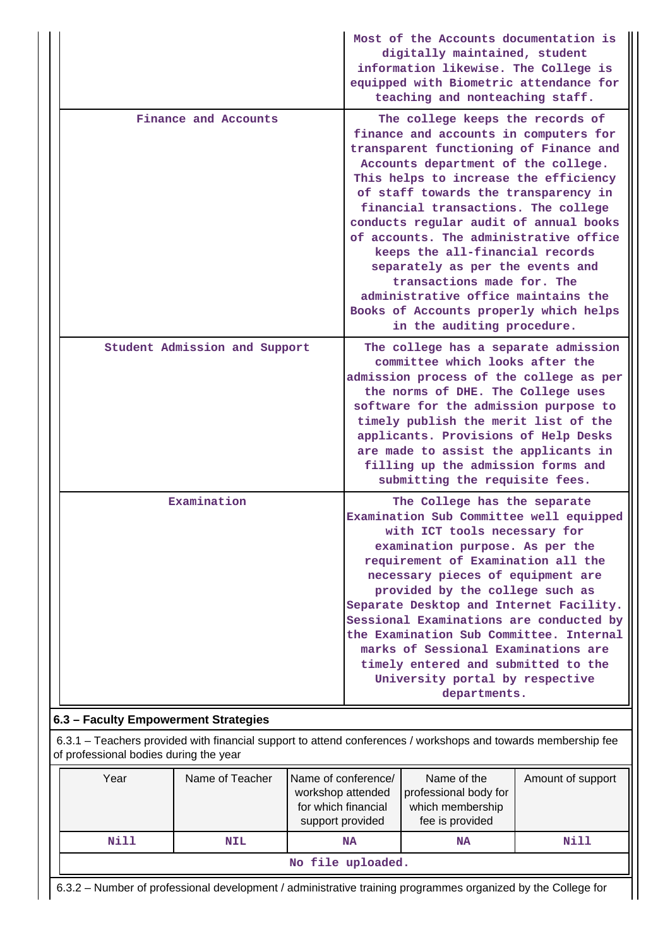|                               | Most of the Accounts documentation is<br>digitally maintained, student<br>information likewise. The College is<br>equipped with Biometric attendance for<br>teaching and nonteaching staff.                                                                                                                                                                                                                                                                                                                                                                                                |
|-------------------------------|--------------------------------------------------------------------------------------------------------------------------------------------------------------------------------------------------------------------------------------------------------------------------------------------------------------------------------------------------------------------------------------------------------------------------------------------------------------------------------------------------------------------------------------------------------------------------------------------|
| Finance and Accounts          | The college keeps the records of<br>finance and accounts in computers for<br>transparent functioning of Finance and<br>Accounts department of the college.<br>This helps to increase the efficiency<br>of staff towards the transparency in<br>financial transactions. The college<br>conducts regular audit of annual books<br>of accounts. The administrative office<br>keeps the all-financial records<br>separately as per the events and<br>transactions made for. The<br>administrative office maintains the<br>Books of Accounts properly which helps<br>in the auditing procedure. |
| Student Admission and Support | The college has a separate admission<br>committee which looks after the<br>admission process of the college as per<br>the norms of DHE. The College uses<br>software for the admission purpose to<br>timely publish the merit list of the<br>applicants. Provisions of Help Desks<br>are made to assist the applicants in<br>filling up the admission forms and<br>submitting the requisite fees.                                                                                                                                                                                          |
| Examination                   | The College has the separate<br>Examination Sub Committee well equipped<br>with ICT tools necessary for<br>examination purpose. As per the<br>requirement of Examination all the<br>necessary pieces of equipment are<br>provided by the college such as<br>Separate Desktop and Internet Facility.<br>Sessional Examinations are conducted by<br>the Examination Sub Committee. Internal<br>marks of Sessional Examinations are<br>timely entered and submitted to the<br>University portal by respective<br>departments.                                                                 |

### **6.3 – Faculty Empowerment Strategies**

 6.3.1 – Teachers provided with financial support to attend conferences / workshops and towards membership fee of professional bodies during the year

| Year | Name of Teacher   | Name of conference/<br>workshop attended<br>for which financial<br>support provided | Name of the<br>professional body for<br>which membership<br>fee is provided | Amount of support |  |  |  |  |
|------|-------------------|-------------------------------------------------------------------------------------|-----------------------------------------------------------------------------|-------------------|--|--|--|--|
| Nill | <b>NIL</b>        | <b>NA</b>                                                                           | <b>NA</b>                                                                   | Nill              |  |  |  |  |
|      | No file uploaded. |                                                                                     |                                                                             |                   |  |  |  |  |

6.3.2 – Number of professional development / administrative training programmes organized by the College for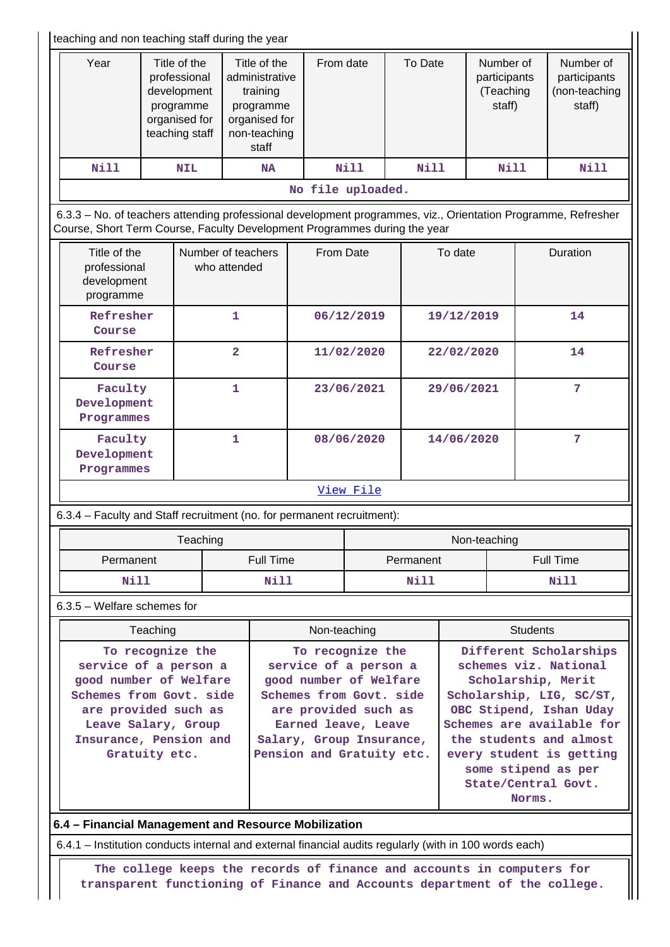|                                                                                                                                                                                            | teaching and non teaching staff during the year |                                                                                             |                         |                                                                                                                                                                                                        |                   |                  |                                                                                                                                                                                                                                                                          |            |                 |                                                  |                  |                                                      |
|--------------------------------------------------------------------------------------------------------------------------------------------------------------------------------------------|-------------------------------------------------|---------------------------------------------------------------------------------------------|-------------------------|--------------------------------------------------------------------------------------------------------------------------------------------------------------------------------------------------------|-------------------|------------------|--------------------------------------------------------------------------------------------------------------------------------------------------------------------------------------------------------------------------------------------------------------------------|------------|-----------------|--------------------------------------------------|------------------|------------------------------------------------------|
| Year                                                                                                                                                                                       |                                                 | Title of the<br>professional<br>development<br>programme<br>organised for<br>teaching staff |                         | Title of the<br>administrative<br>training<br>programme<br>organised for<br>non-teaching<br>staff                                                                                                      | From date         |                  |                                                                                                                                                                                                                                                                          | To Date    |                 | Number of<br>participants<br>(Teaching<br>staff) |                  | Number of<br>participants<br>(non-teaching<br>staff) |
| <b>Nill</b>                                                                                                                                                                                |                                                 | <b>NIL</b>                                                                                  |                         | <b>NA</b>                                                                                                                                                                                              |                   | N11              |                                                                                                                                                                                                                                                                          | N11        |                 | Nill                                             |                  | Nill                                                 |
|                                                                                                                                                                                            |                                                 |                                                                                             |                         |                                                                                                                                                                                                        | No file uploaded. |                  |                                                                                                                                                                                                                                                                          |            |                 |                                                  |                  |                                                      |
| 6.3.3 - No. of teachers attending professional development programmes, viz., Orientation Programme, Refresher<br>Course, Short Term Course, Faculty Development Programmes during the year |                                                 |                                                                                             |                         |                                                                                                                                                                                                        |                   |                  |                                                                                                                                                                                                                                                                          |            |                 |                                                  |                  |                                                      |
| Title of the<br>professional<br>development<br>programme                                                                                                                                   |                                                 | Number of teachers                                                                          | who attended            |                                                                                                                                                                                                        | From Date         |                  |                                                                                                                                                                                                                                                                          |            | To date         |                                                  |                  | Duration                                             |
| Refresher<br>Course                                                                                                                                                                        |                                                 |                                                                                             | 1                       |                                                                                                                                                                                                        |                   | 06/12/2019       |                                                                                                                                                                                                                                                                          |            | 19/12/2019      |                                                  |                  | 14                                                   |
| Refresher<br>Course                                                                                                                                                                        |                                                 |                                                                                             | $\overline{\mathbf{2}}$ |                                                                                                                                                                                                        |                   | 11/02/2020       |                                                                                                                                                                                                                                                                          |            | 22/02/2020      |                                                  | 14               |                                                      |
| Faculty<br>Development<br>Programmes                                                                                                                                                       |                                                 |                                                                                             | 1                       |                                                                                                                                                                                                        |                   | 23/06/2021       |                                                                                                                                                                                                                                                                          |            | 29/06/2021      |                                                  |                  | 7                                                    |
|                                                                                                                                                                                            | Faculty<br>Development<br>Programmes            |                                                                                             | 1                       |                                                                                                                                                                                                        | 08/06/2020        |                  |                                                                                                                                                                                                                                                                          | 14/06/2020 |                 |                                                  | 7                |                                                      |
|                                                                                                                                                                                            |                                                 |                                                                                             |                         |                                                                                                                                                                                                        |                   | <u>View File</u> |                                                                                                                                                                                                                                                                          |            |                 |                                                  |                  |                                                      |
| 6.3.4 - Faculty and Staff recruitment (no. for permanent recruitment):                                                                                                                     |                                                 |                                                                                             |                         |                                                                                                                                                                                                        |                   |                  |                                                                                                                                                                                                                                                                          |            |                 |                                                  |                  |                                                      |
|                                                                                                                                                                                            |                                                 | Teaching                                                                                    |                         |                                                                                                                                                                                                        |                   |                  |                                                                                                                                                                                                                                                                          |            |                 | Non-teaching                                     |                  |                                                      |
| Permanent                                                                                                                                                                                  |                                                 |                                                                                             |                         | Full Time                                                                                                                                                                                              |                   | Permanent        |                                                                                                                                                                                                                                                                          |            |                 |                                                  | <b>Full Time</b> |                                                      |
| Nill                                                                                                                                                                                       |                                                 |                                                                                             |                         | <b>Nill</b>                                                                                                                                                                                            |                   |                  |                                                                                                                                                                                                                                                                          | Nill       |                 |                                                  |                  | <b>Nill</b>                                          |
| 6.3.5 - Welfare schemes for                                                                                                                                                                |                                                 |                                                                                             |                         |                                                                                                                                                                                                        |                   |                  |                                                                                                                                                                                                                                                                          |            |                 |                                                  |                  |                                                      |
|                                                                                                                                                                                            | Teaching                                        |                                                                                             |                         |                                                                                                                                                                                                        | Non-teaching      |                  |                                                                                                                                                                                                                                                                          |            | <b>Students</b> |                                                  |                  |                                                      |
| To recognize the<br>service of a person a<br>good number of Welfare<br>Schemes from Govt. side<br>are provided such as<br>Leave Salary, Group<br>Insurance, Pension and<br>Gratuity etc.   |                                                 |                                                                                             |                         | To recognize the<br>service of a person a<br>good number of Welfare<br>Schemes from Govt. side<br>are provided such as<br>Earned leave, Leave<br>Salary, Group Insurance,<br>Pension and Gratuity etc. |                   |                  | Different Scholarships<br>schemes viz. National<br>Scholarship, Merit<br>Scholarship, LIG, SC/ST,<br>OBC Stipend, Ishan Uday<br>Schemes are available for<br>the students and almost<br>every student is getting<br>some stipend as per<br>State/Central Govt.<br>Norms. |            |                 |                                                  |                  |                                                      |
| 6.4 - Financial Management and Resource Mobilization                                                                                                                                       |                                                 |                                                                                             |                         |                                                                                                                                                                                                        |                   |                  |                                                                                                                                                                                                                                                                          |            |                 |                                                  |                  |                                                      |

6.4.1 – Institution conducts internal and external financial audits regularly (with in 100 words each)

 **The college keeps the records of finance and accounts in computers for transparent functioning of Finance and Accounts department of the college.**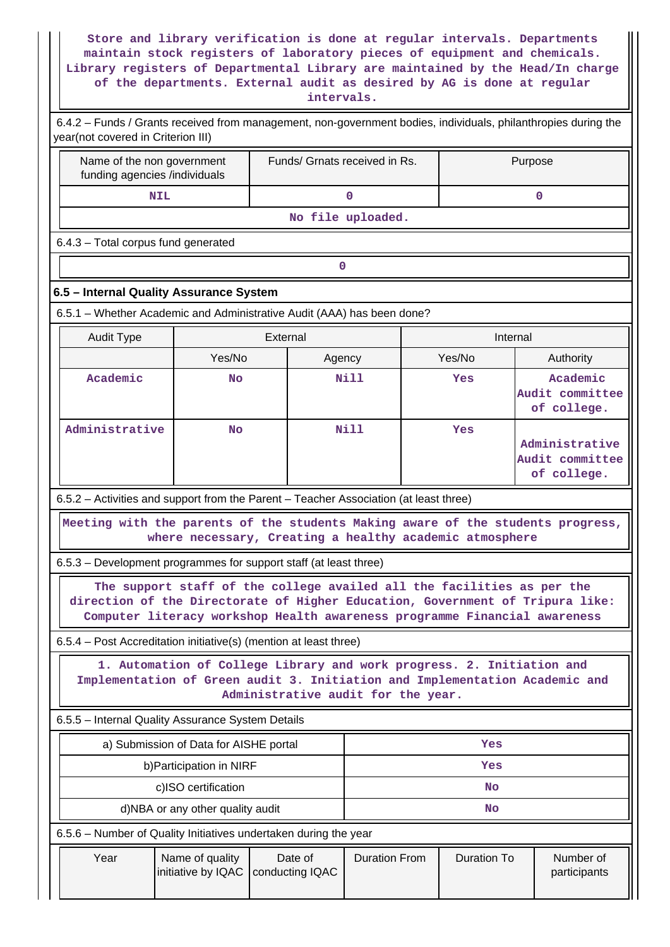**Store and library verification is done at regular intervals. Departments maintain stock registers of laboratory pieces of equipment and chemicals. Library registers of Departmental Library are maintained by the Head/In charge of the departments. External audit as desired by AG is done at regular intervals.**

| 6.4.2 - Funds / Grants received from management, non-government bodies, individuals, philanthropies during the<br>year(not covered in Criterion III) |                                        |                                                                                                                                                                                            |                      |  |                    |                                                                                 |  |  |  |  |  |
|------------------------------------------------------------------------------------------------------------------------------------------------------|----------------------------------------|--------------------------------------------------------------------------------------------------------------------------------------------------------------------------------------------|----------------------|--|--------------------|---------------------------------------------------------------------------------|--|--|--|--|--|
| Name of the non government<br>funding agencies /individuals                                                                                          |                                        | Funds/ Grnats received in Rs.                                                                                                                                                              |                      |  |                    | Purpose                                                                         |  |  |  |  |  |
|                                                                                                                                                      | <b>NIL</b>                             |                                                                                                                                                                                            | 0                    |  |                    | $\mathbf 0$                                                                     |  |  |  |  |  |
|                                                                                                                                                      |                                        |                                                                                                                                                                                            | No file uploaded.    |  |                    |                                                                                 |  |  |  |  |  |
| 6.4.3 - Total corpus fund generated                                                                                                                  |                                        |                                                                                                                                                                                            |                      |  |                    |                                                                                 |  |  |  |  |  |
|                                                                                                                                                      | 0                                      |                                                                                                                                                                                            |                      |  |                    |                                                                                 |  |  |  |  |  |
| 6.5 - Internal Quality Assurance System                                                                                                              |                                        |                                                                                                                                                                                            |                      |  |                    |                                                                                 |  |  |  |  |  |
| 6.5.1 - Whether Academic and Administrative Audit (AAA) has been done?                                                                               |                                        |                                                                                                                                                                                            |                      |  |                    |                                                                                 |  |  |  |  |  |
| <b>Audit Type</b>                                                                                                                                    |                                        | External                                                                                                                                                                                   |                      |  | Internal           |                                                                                 |  |  |  |  |  |
|                                                                                                                                                      | Yes/No                                 | Agency                                                                                                                                                                                     |                      |  | Yes/No             | Authority                                                                       |  |  |  |  |  |
| Academic                                                                                                                                             | <b>No</b>                              |                                                                                                                                                                                            | <b>Nill</b>          |  | Yes                | Academic<br>Audit committee<br>of college.                                      |  |  |  |  |  |
| Administrative                                                                                                                                       | <b>No</b>                              |                                                                                                                                                                                            | <b>Nill</b>          |  | Yes                | Administrative<br>Audit committee<br>of college.                                |  |  |  |  |  |
| 6.5.2 – Activities and support from the Parent – Teacher Association (at least three)                                                                |                                        |                                                                                                                                                                                            |                      |  |                    |                                                                                 |  |  |  |  |  |
|                                                                                                                                                      |                                        | where necessary, Creating a healthy academic atmosphere                                                                                                                                    |                      |  |                    | Meeting with the parents of the students Making aware of the students progress, |  |  |  |  |  |
| 6.5.3 - Development programmes for support staff (at least three)                                                                                    |                                        |                                                                                                                                                                                            |                      |  |                    |                                                                                 |  |  |  |  |  |
|                                                                                                                                                      |                                        | The support staff of the college availed all the facilities as per the<br>Computer literacy workshop Health awareness programme Financial awareness                                        |                      |  |                    | direction of the Directorate of Higher Education, Government of Tripura like:   |  |  |  |  |  |
| 6.5.4 – Post Accreditation initiative(s) (mention at least three)                                                                                    |                                        |                                                                                                                                                                                            |                      |  |                    |                                                                                 |  |  |  |  |  |
|                                                                                                                                                      |                                        | 1. Automation of College Library and work progress. 2. Initiation and<br>Implementation of Green audit 3. Initiation and Implementation Academic and<br>Administrative audit for the year. |                      |  |                    |                                                                                 |  |  |  |  |  |
| 6.5.5 - Internal Quality Assurance System Details                                                                                                    |                                        |                                                                                                                                                                                            |                      |  |                    |                                                                                 |  |  |  |  |  |
|                                                                                                                                                      | a) Submission of Data for AISHE portal |                                                                                                                                                                                            |                      |  | Yes                |                                                                                 |  |  |  |  |  |
|                                                                                                                                                      | b) Participation in NIRF               |                                                                                                                                                                                            | Yes                  |  |                    |                                                                                 |  |  |  |  |  |
|                                                                                                                                                      | c)ISO certification                    |                                                                                                                                                                                            |                      |  | <b>No</b>          |                                                                                 |  |  |  |  |  |
|                                                                                                                                                      | d)NBA or any other quality audit       |                                                                                                                                                                                            |                      |  | No                 |                                                                                 |  |  |  |  |  |
| 6.5.6 - Number of Quality Initiatives undertaken during the year                                                                                     |                                        |                                                                                                                                                                                            |                      |  |                    |                                                                                 |  |  |  |  |  |
| Year                                                                                                                                                 | Name of quality<br>initiative by IQAC  | Date of<br>conducting IQAC                                                                                                                                                                 | <b>Duration From</b> |  | <b>Duration To</b> | Number of<br>participants                                                       |  |  |  |  |  |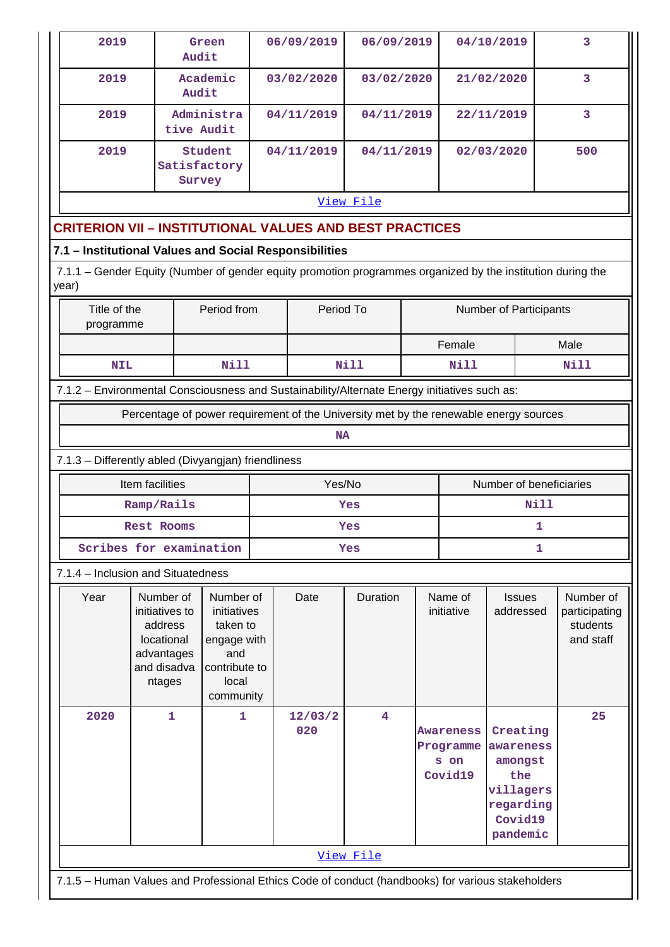| 2019                                                                                                                 | Audit                                                                          | Green                                                                                |  | 06/09/2019     | 06/09/2019  |  |                                           | 04/10/2019                                                                               | 3                                      |  |  |  |
|----------------------------------------------------------------------------------------------------------------------|--------------------------------------------------------------------------------|--------------------------------------------------------------------------------------|--|----------------|-------------|--|-------------------------------------------|------------------------------------------------------------------------------------------|----------------------------------------|--|--|--|
| 2019                                                                                                                 | Audit                                                                          | Academic                                                                             |  | 03/02/2020     | 03/02/2020  |  |                                           | 21/02/2020                                                                               | 3                                      |  |  |  |
| 2019                                                                                                                 | tive Audit                                                                     | Administra                                                                           |  | 04/11/2019     | 04/11/2019  |  |                                           | 22/11/2019                                                                               | 3                                      |  |  |  |
| 2019                                                                                                                 |                                                                                | Student<br>Satisfactory<br>Survey                                                    |  | 04/11/2019     | 04/11/2019  |  |                                           | 02/03/2020                                                                               | 500                                    |  |  |  |
|                                                                                                                      |                                                                                |                                                                                      |  |                | View File   |  |                                           |                                                                                          |                                        |  |  |  |
| <b>CRITERION VII - INSTITUTIONAL VALUES AND BEST PRACTICES</b>                                                       |                                                                                |                                                                                      |  |                |             |  |                                           |                                                                                          |                                        |  |  |  |
| 7.1 - Institutional Values and Social Responsibilities                                                               |                                                                                |                                                                                      |  |                |             |  |                                           |                                                                                          |                                        |  |  |  |
| 7.1.1 – Gender Equity (Number of gender equity promotion programmes organized by the institution during the<br>year) |                                                                                |                                                                                      |  |                |             |  |                                           |                                                                                          |                                        |  |  |  |
| Period To<br>Title of the<br>Period from<br>Number of Participants<br>programme                                      |                                                                                |                                                                                      |  |                |             |  |                                           |                                                                                          |                                        |  |  |  |
|                                                                                                                      |                                                                                |                                                                                      |  |                |             |  | Female                                    |                                                                                          | Male                                   |  |  |  |
| <b>NIL</b>                                                                                                           |                                                                                | Nill                                                                                 |  |                | <b>Nill</b> |  | Nill                                      |                                                                                          | <b>Nill</b>                            |  |  |  |
| 7.1.2 - Environmental Consciousness and Sustainability/Alternate Energy initiatives such as:                         |                                                                                |                                                                                      |  |                |             |  |                                           |                                                                                          |                                        |  |  |  |
|                                                                                                                      |                                                                                |                                                                                      |  |                |             |  |                                           | Percentage of power requirement of the University met by the renewable energy sources    |                                        |  |  |  |
|                                                                                                                      |                                                                                |                                                                                      |  | <b>NA</b>      |             |  |                                           |                                                                                          |                                        |  |  |  |
| 7.1.3 - Differently abled (Divyangjan) friendliness                                                                  |                                                                                |                                                                                      |  |                |             |  |                                           |                                                                                          |                                        |  |  |  |
|                                                                                                                      | Item facilities                                                                |                                                                                      |  | Yes/No         |             |  |                                           | Number of beneficiaries                                                                  |                                        |  |  |  |
|                                                                                                                      | Ramp/Rails                                                                     |                                                                                      |  |                | Yes         |  |                                           | Nill                                                                                     |                                        |  |  |  |
| Scribes for examination                                                                                              | <b>Rest Rooms</b>                                                              |                                                                                      |  |                | Yes<br>Yes  |  |                                           | 1<br>1                                                                                   |                                        |  |  |  |
| 7.1.4 - Inclusion and Situatedness                                                                                   |                                                                                |                                                                                      |  |                |             |  |                                           |                                                                                          |                                        |  |  |  |
| Year                                                                                                                 | Number of                                                                      | Number of                                                                            |  | Date           | Duration    |  | Name of                                   | <b>Issues</b>                                                                            | Number of                              |  |  |  |
|                                                                                                                      | initiatives to<br>address<br>locational<br>advantages<br>and disadva<br>ntages | initiatives<br>taken to<br>engage with<br>and<br>contribute to<br>local<br>community |  |                |             |  | initiative                                | addressed                                                                                | participating<br>students<br>and staff |  |  |  |
| 2020                                                                                                                 | $\mathbf{1}$                                                                   | $\mathbf{1}$                                                                         |  | 12/03/2<br>020 | 4           |  | Awareness<br>Programme<br>s on<br>Covid19 | Creating<br>awareness<br>amongst<br>the<br>villagers<br>regarding<br>Covid19<br>pandemic | 25                                     |  |  |  |
|                                                                                                                      |                                                                                |                                                                                      |  |                | View File   |  |                                           |                                                                                          |                                        |  |  |  |
| 7.1.5 - Human Values and Professional Ethics Code of conduct (handbooks) for various stakeholders                    |                                                                                |                                                                                      |  |                |             |  |                                           |                                                                                          |                                        |  |  |  |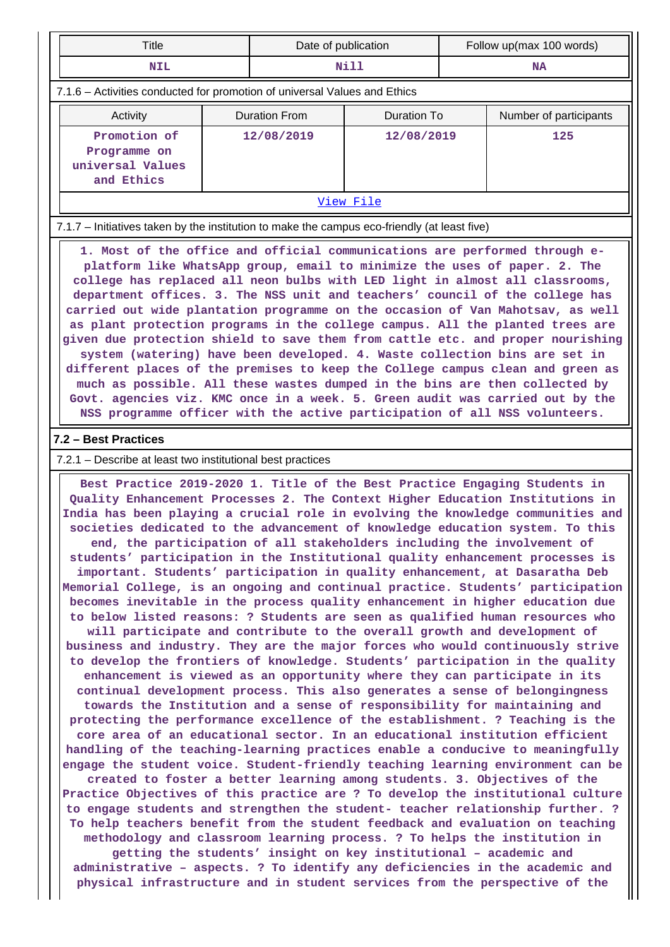| Title                                                                                                                                                                                                                                                                                                                                                                                                                                                                                                                                                                                                                                                                                                                                                                                                                                                                                                                                                                                                                                                                                                                                                                                                                                                                                                                                                                                                                                                                                                                                                                                                                                   | Date of publication |                                 |             | Follow up(max 100 words) |                        |  |  |  |  |
|-----------------------------------------------------------------------------------------------------------------------------------------------------------------------------------------------------------------------------------------------------------------------------------------------------------------------------------------------------------------------------------------------------------------------------------------------------------------------------------------------------------------------------------------------------------------------------------------------------------------------------------------------------------------------------------------------------------------------------------------------------------------------------------------------------------------------------------------------------------------------------------------------------------------------------------------------------------------------------------------------------------------------------------------------------------------------------------------------------------------------------------------------------------------------------------------------------------------------------------------------------------------------------------------------------------------------------------------------------------------------------------------------------------------------------------------------------------------------------------------------------------------------------------------------------------------------------------------------------------------------------------------|---------------------|---------------------------------|-------------|--------------------------|------------------------|--|--|--|--|
| <b>NIL</b>                                                                                                                                                                                                                                                                                                                                                                                                                                                                                                                                                                                                                                                                                                                                                                                                                                                                                                                                                                                                                                                                                                                                                                                                                                                                                                                                                                                                                                                                                                                                                                                                                              |                     | Nill                            |             | <b>NA</b>                |                        |  |  |  |  |
| 7.1.6 - Activities conducted for promotion of universal Values and Ethics                                                                                                                                                                                                                                                                                                                                                                                                                                                                                                                                                                                                                                                                                                                                                                                                                                                                                                                                                                                                                                                                                                                                                                                                                                                                                                                                                                                                                                                                                                                                                               |                     |                                 |             |                          |                        |  |  |  |  |
| Activity                                                                                                                                                                                                                                                                                                                                                                                                                                                                                                                                                                                                                                                                                                                                                                                                                                                                                                                                                                                                                                                                                                                                                                                                                                                                                                                                                                                                                                                                                                                                                                                                                                |                     | <b>Duration From</b>            | Duration To |                          | Number of participants |  |  |  |  |
| Promotion of<br>Programme on<br>universal Values<br>and Ethics                                                                                                                                                                                                                                                                                                                                                                                                                                                                                                                                                                                                                                                                                                                                                                                                                                                                                                                                                                                                                                                                                                                                                                                                                                                                                                                                                                                                                                                                                                                                                                          |                     | 12/08/2019<br>12/08/2019<br>125 |             |                          |                        |  |  |  |  |
| View File                                                                                                                                                                                                                                                                                                                                                                                                                                                                                                                                                                                                                                                                                                                                                                                                                                                                                                                                                                                                                                                                                                                                                                                                                                                                                                                                                                                                                                                                                                                                                                                                                               |                     |                                 |             |                          |                        |  |  |  |  |
| 7.1.7 – Initiatives taken by the institution to make the campus eco-friendly (at least five)                                                                                                                                                                                                                                                                                                                                                                                                                                                                                                                                                                                                                                                                                                                                                                                                                                                                                                                                                                                                                                                                                                                                                                                                                                                                                                                                                                                                                                                                                                                                            |                     |                                 |             |                          |                        |  |  |  |  |
| department offices. 3. The NSS unit and teachers' council of the college has<br>carried out wide plantation programme on the occasion of Van Mahotsav, as well<br>as plant protection programs in the college campus. All the planted trees are<br>given due protection shield to save them from cattle etc. and proper nourishing<br>system (watering) have been developed. 4. Waste collection bins are set in<br>different places of the premises to keep the College campus clean and green as<br>much as possible. All these wastes dumped in the bins are then collected by<br>Govt. agencies viz. KMC once in a week. 5. Green audit was carried out by the<br>NSS programme officer with the active participation of all NSS volunteers.<br>7.2 - Best Practices                                                                                                                                                                                                                                                                                                                                                                                                                                                                                                                                                                                                                                                                                                                                                                                                                                                                |                     |                                 |             |                          |                        |  |  |  |  |
|                                                                                                                                                                                                                                                                                                                                                                                                                                                                                                                                                                                                                                                                                                                                                                                                                                                                                                                                                                                                                                                                                                                                                                                                                                                                                                                                                                                                                                                                                                                                                                                                                                         |                     |                                 |             |                          |                        |  |  |  |  |
| 7.2.1 – Describe at least two institutional best practices<br>Best Practice 2019-2020 1. Title of the Best Practice Engaging Students in<br>Quality Enhancement Processes 2. The Context Higher Education Institutions in<br>India has been playing a crucial role in evolving the knowledge communities and<br>societies dedicated to the advancement of knowledge education system. To this<br>end, the participation of all stakeholders including the involvement of<br>students' participation in the Institutional quality enhancement processes is<br>important. Students' participation in quality enhancement, at Dasaratha Deb<br>Memorial College, is an ongoing and continual practice. Students' participation<br>becomes inevitable in the process quality enhancement in higher education due<br>to below listed reasons: ? Students are seen as qualified human resources who<br>will participate and contribute to the overall growth and development of<br>business and industry. They are the major forces who would continuously strive<br>to develop the frontiers of knowledge. Students' participation in the quality<br>enhancement is viewed as an opportunity where they can participate in its<br>continual development process. This also generates a sense of belongingness<br>towards the Institution and a sense of responsibility for maintaining and<br>protecting the performance excellence of the establishment. ? Teaching is the<br>core area of an educational sector. In an educational institution efficient<br>handling of the teaching-learning practices enable a conducive to meaningfully |                     |                                 |             |                          |                        |  |  |  |  |

**created to foster a better learning among students. 3. Objectives of the Practice Objectives of this practice are ? To develop the institutional culture to engage students and strengthen the student- teacher relationship further. ? To help teachers benefit from the student feedback and evaluation on teaching methodology and classroom learning process. ? To helps the institution in**

**getting the students' insight on key institutional – academic and administrative – aspects. ? To identify any deficiencies in the academic and physical infrastructure and in student services from the perspective of the**